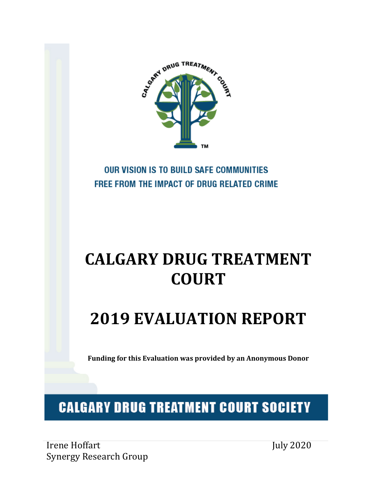

## **OUR VISION IS TO BUILD SAFE COMMUNITIES** FREE FROM THE IMPACT OF DRUG RELATED CRIME

# **CALGARY DRUG TREATMENT COURT**

# **2019 EVALUATION REPORT**

**Funding for this Evaluation was provided by an Anonymous Donor**

## **CALGARY DRUG TREATMENT COURT SOCIETY**

Irene Hoffart Synergy Research Group July 2020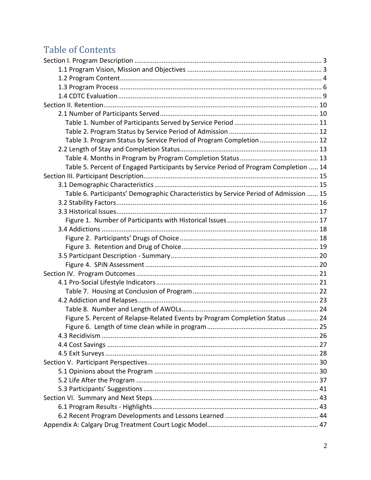## **Table of Contents**

| Table 3. Program Status by Service Period of Program Completion  12                   |  |
|---------------------------------------------------------------------------------------|--|
|                                                                                       |  |
|                                                                                       |  |
| Table 5. Percent of Engaged Participants by Service Period of Program Completion  14  |  |
|                                                                                       |  |
|                                                                                       |  |
| Table 6. Participants' Demographic Characteristics by Service Period of Admission  15 |  |
|                                                                                       |  |
|                                                                                       |  |
|                                                                                       |  |
|                                                                                       |  |
|                                                                                       |  |
|                                                                                       |  |
|                                                                                       |  |
|                                                                                       |  |
|                                                                                       |  |
|                                                                                       |  |
|                                                                                       |  |
|                                                                                       |  |
|                                                                                       |  |
| Figure 5. Percent of Relapse-Related Events by Program Completion Status  24          |  |
|                                                                                       |  |
|                                                                                       |  |
|                                                                                       |  |
|                                                                                       |  |
|                                                                                       |  |
|                                                                                       |  |
|                                                                                       |  |
|                                                                                       |  |
|                                                                                       |  |
|                                                                                       |  |
|                                                                                       |  |
|                                                                                       |  |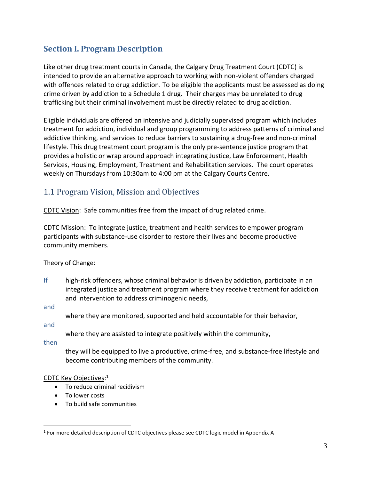## <span id="page-2-0"></span>**Section I. Program Description**

Like other drug treatment courts in Canada, the Calgary Drug Treatment Court (CDTC) is intended to provide an alternative approach to working with non-violent offenders charged with offences related to drug addiction. To be eligible the applicants must be assessed as doing crime driven by addiction to a Schedule 1 drug. Their charges may be unrelated to drug trafficking but their criminal involvement must be directly related to drug addiction.

Eligible individuals are offered an intensive and judicially supervised program which includes treatment for addiction, individual and group programming to address patterns of criminal and addictive thinking, and services to reduce barriers to sustaining a drug-free and non-criminal lifestyle. This drug treatment court program is the only pre-sentence justice program that provides a holistic or wrap around approach integrating Justice, Law Enforcement, Health Services, Housing, Employment, Treatment and Rehabilitation services. The court operates weekly on Thursdays from 10:30am to 4:00 pm at the Calgary Courts Centre.

## <span id="page-2-1"></span>1.1 Program Vision, Mission and Objectives

CDTC Vision: Safe communities free from the impact of drug related crime.

CDTC Mission: To integrate justice, treatment and health services to empower program participants with substance-use disorder to restore their lives and become productive community members.

## Theory of Change:

If high-risk offenders, whose criminal behavior is driven by addiction, participate in an integrated justice and treatment program where they receive treatment for addiction and intervention to address criminogenic needs,

and

where they are monitored, supported and held accountable for their behavior,

and

where they are assisted to integrate positively within the community,

then

they will be equipped to live a productive, crime-free, and substance-free lifestyle and become contributing members of the community.

#### CDTC Key Objectives: 1

- To reduce criminal recidivism
- To lower costs
- To build safe communities

<sup>&</sup>lt;sup>1</sup> For more detailed description of CDTC objectives please see CDTC logic model in Appendix A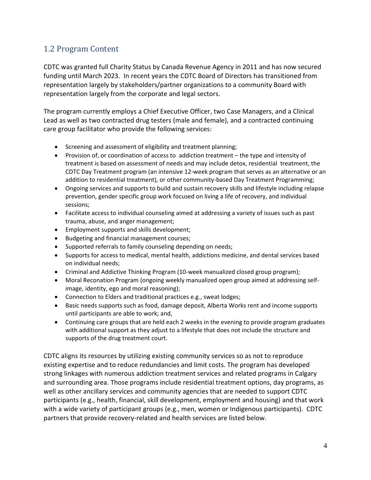## <span id="page-3-0"></span>1.2 Program Content

CDTC was granted full Charity Status by Canada Revenue Agency in 2011 and has now secured funding until March 2023. In recent years the CDTC Board of Directors has transitioned from representation largely by stakeholders/partner organizations to a community Board with representation largely from the corporate and legal sectors.

The program currently employs a Chief Executive Officer, two Case Managers, and a Clinical Lead as well as two contracted drug testers (male and female), and a contracted continuing care group facilitator who provide the following services:

- Screening and assessment of eligibility and treatment planning;
- Provision of, or coordination of access to addiction treatment the type and intensity of treatment is based on assessment of needs and may include detox, residential treatment, the CDTC Day Treatment program (an intensive 12-week program that serves as an alternative or an addition to residential treatment), or other community-based Day Treatment Programming;
- Ongoing services and supports to build and sustain recovery skills and lifestyle including relapse prevention, gender specific group work focused on living a life of recovery, and individual sessions;
- Facilitate access to individual counseling aimed at addressing a variety of issues such as past trauma, abuse, and anger management;
- Employment supports and skills development;
- Budgeting and financial management courses;
- Supported referrals to family counseling depending on needs;
- Supports for access to medical, mental health, addictions medicine, and dental services based on individual needs;
- Criminal and Addictive Thinking Program (10-week manualized closed group program);
- Moral Reconation Program (ongoing weekly manualized open group aimed at addressing selfimage, identity, ego and moral reasoning);
- Connection to Elders and traditional practices e.g., sweat lodges;
- Basic needs supports such as food, damage deposit, Alberta Works rent and income supports until participants are able to work; and,
- Continuing care groups that are held each 2 weeks in the evening to provide program graduates with additional support as they adjust to a lifestyle that does not include the structure and supports of the drug treatment court.

CDTC aligns its resources by utilizing existing community services so as not to reproduce existing expertise and to reduce redundancies and limit costs. The program has developed strong linkages with numerous addiction treatment services and related programs in Calgary and surrounding area. Those programs include residential treatment options, day programs, as well as other ancillary services and community agencies that are needed to support CDTC participants (e.g., health, financial, skill development, employment and housing) and that work with a wide variety of participant groups (e.g., men, women or Indigenous participants). CDTC partners that provide recovery-related and health services are listed below.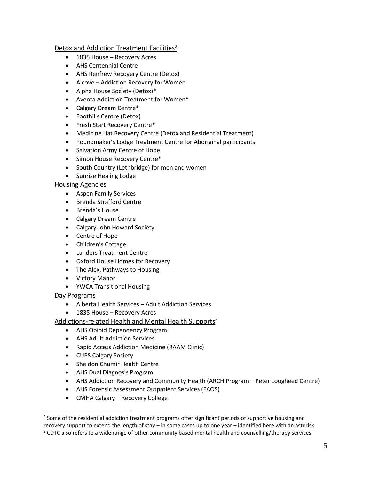#### Detox and Addiction Treatment Facilities<sup>2</sup>

- 1835 House Recovery Acres
- AHS Centennial Centre
- AHS Renfrew Recovery Centre (Detox)
- Alcove Addiction Recovery for Women
- Alpha House Society (Detox)\*
- Aventa Addiction Treatment for Women\*
- Calgary Dream Centre\*
- Foothills Centre (Detox)
- Fresh Start Recovery Centre\*
- Medicine Hat Recovery Centre (Detox and Residential Treatment)
- Poundmaker's Lodge Treatment Centre for Aboriginal participants
- Salvation Army Centre of Hope
- Simon House Recovery Centre\*
- South Country (Lethbridge) for men and women
- Sunrise Healing Lodge

#### Housing Agencies

- Aspen Family Services
- Brenda Strafford Centre
- Brenda's House
- Calgary Dream Centre
- Calgary John Howard Society
- Centre of Hope
- Children's Cottage
- Landers Treatment Centre
- Oxford House Homes for Recovery
- The Alex, Pathways to Housing
- Victory Manor
- YWCA Transitional Housing

## Day Programs

- Alberta Health Services Adult Addiction Services
- 1835 House Recovery Acres

#### Addictions-related Health and Mental Health Supports<sup>3</sup>

- AHS Opioid Dependency Program
- AHS Adult Addiction Services
- Rapid Access Addiction Medicine (RAAM Clinic)
- CUPS Calgary Society
- Sheldon Chumir Health Centre
- AHS Dual Diagnosis Program
- AHS Addiction Recovery and Community Health (ARCH Program Peter Lougheed Centre)
- AHS Forensic Assessment Outpatient Services (FAOS)
- CMHA Calgary Recovery College

<sup>&</sup>lt;sup>2</sup> Some of the residential addiction treatment programs offer significant periods of supportive housing and recovery support to extend the length of stay – in some cases up to one year – identified here with an asterisk <sup>3</sup> CDTC also refers to a wide range of other community based mental health and counselling/therapy services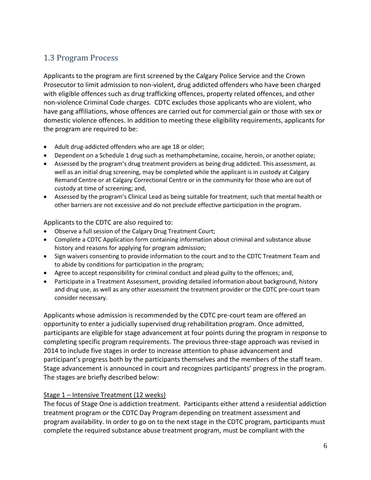## <span id="page-5-0"></span>1.3 Program Process

Applicants to the program are first screened by the Calgary Police Service and the Crown Prosecutor to limit admission to non-violent, drug addicted offenders who have been charged with eligible offences such as drug trafficking offences, property related offences, and other non-violence Criminal Code charges. CDTC excludes those applicants who are violent, who have gang affiliations, whose offences are carried out for commercial gain or those with sex or domestic violence offences. In addition to meeting these eligibility requirements, applicants for the program are required to be:

- Adult drug-addicted offenders who are age 18 or older;
- Dependent on a Schedule 1 drug such as methamphetamine, cocaine, heroin, or another opiate;
- Assessed by the program's drug treatment providers as being drug addicted. This assessment, as well as an initial drug screening, may be completed while the applicant is in custody at Calgary Remand Centre or at Calgary Correctional Centre or in the community for those who are out of custody at time of screening; and,
- Assessed by the program's Clinical Lead as being suitable for treatment, such that mental health or other barriers are not excessive and do not preclude effective participation in the program.

Applicants to the CDTC are also required to:

- Observe a full session of the Calgary Drug Treatment Court;
- Complete a CDTC Application form containing information about criminal and substance abuse history and reasons for applying for program admission;
- Sign waivers consenting to provide information to the court and to the CDTC Treatment Team and to abide by conditions for participation in the program;
- Agree to accept responsibility for criminal conduct and plead guilty to the offences; and,
- Participate in a Treatment Assessment, providing detailed information about background, history and drug use, as well as any other assessment the treatment provider or the CDTC pre-court team consider necessary.

Applicants whose admission is recommended by the CDTC pre-court team are offered an opportunity to enter a judicially supervised drug rehabilitation program. Once admitted, participants are eligible for stage advancement at four points during the program in response to completing specific program requirements. The previous three-stage approach was revised in 2014 to include five stages in order to increase attention to phase advancement and participant's progress both by the participants themselves and the members of the staff team. Stage advancement is announced in court and recognizes participants' progress in the program. The stages are briefly described below:

## Stage 1 – Intensive Treatment (12 weeks)

The focus of Stage One is addiction treatment. Participants either attend a residential addiction treatment program or the CDTC Day Program depending on treatment assessment and program availability. In order to go on to the next stage in the CDTC program, participants must complete the required substance abuse treatment program, must be compliant with the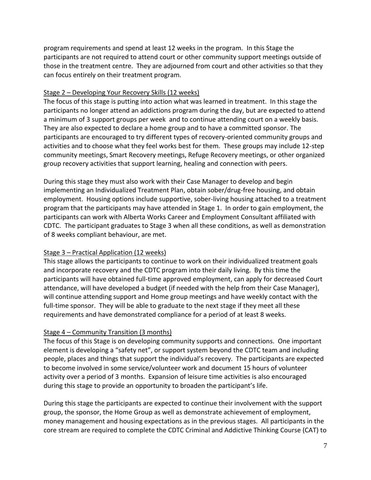program requirements and spend at least 12 weeks in the program. In this Stage the participants are not required to attend court or other community support meetings outside of those in the treatment centre. They are adjourned from court and other activities so that they can focus entirely on their treatment program.

#### Stage 2 – Developing Your Recovery Skills (12 weeks)

The focus of this stage is putting into action what was learned in treatment. In this stage the participants no longer attend an addictions program during the day, but are expected to attend a minimum of 3 support groups per week and to continue attending court on a weekly basis. They are also expected to declare a home group and to have a committed sponsor. The participants are encouraged to try different types of recovery-oriented community groups and activities and to choose what they feel works best for them. These groups may include 12-step community meetings, Smart Recovery meetings, Refuge Recovery meetings, or other organized group recovery activities that support learning, healing and connection with peers.

During this stage they must also work with their Case Manager to develop and begin implementing an Individualized Treatment Plan, obtain sober/drug-free housing, and obtain employment. Housing options include supportive, sober-living housing attached to a treatment program that the participants may have attended in Stage 1. In order to gain employment, the participants can work with Alberta Works Career and Employment Consultant affiliated with CDTC. The participant graduates to Stage 3 when all these conditions, as well as demonstration of 8 weeks compliant behaviour, are met.

## Stage 3 – Practical Application (12 weeks)

This stage allows the participants to continue to work on their individualized treatment goals and incorporate recovery and the CDTC program into their daily living. By this time the participants will have obtained full-time approved employment, can apply for decreased Court attendance, will have developed a budget (if needed with the help from their Case Manager), will continue attending support and Home group meetings and have weekly contact with the full-time sponsor. They will be able to graduate to the next stage if they meet all these requirements and have demonstrated compliance for a period of at least 8 weeks.

## Stage 4 – Community Transition (3 months)

The focus of this Stage is on developing community supports and connections. One important element is developing a "safety net", or support system beyond the CDTC team and including people, places and things that support the individual's recovery. The participants are expected to become involved in some service/volunteer work and document 15 hours of volunteer activity over a period of 3 months. Expansion of leisure time activities is also encouraged during this stage to provide an opportunity to broaden the participant's life.

During this stage the participants are expected to continue their involvement with the support group, the sponsor, the Home Group as well as demonstrate achievement of employment, money management and housing expectations as in the previous stages. All participants in the core stream are required to complete the CDTC Criminal and Addictive Thinking Course (CAT) to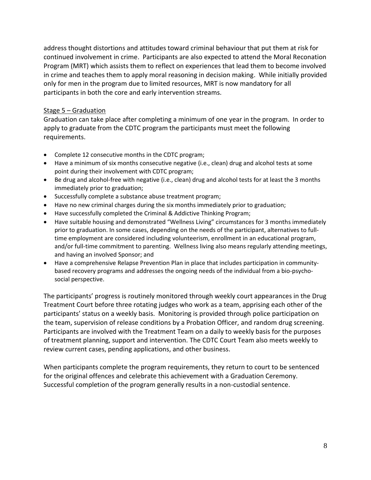address thought distortions and attitudes toward criminal behaviour that put them at risk for continued involvement in crime. Participants are also expected to attend the Moral Reconation Program (MRT) which assists them to reflect on experiences that lead them to become involved in crime and teaches them to apply moral reasoning in decision making. While initially provided only for men in the program due to limited resources, MRT is now mandatory for all participants in both the core and early intervention streams.

## Stage 5 – Graduation

Graduation can take place after completing a minimum of one year in the program. In order to apply to graduate from the CDTC program the participants must meet the following requirements.

- Complete 12 consecutive months in the CDTC program;
- Have a minimum of six months consecutive negative (i.e., clean) drug and alcohol tests at some point during their involvement with CDTC program;
- Be drug and alcohol-free with negative (i.e., clean) drug and alcohol tests for at least the 3 months immediately prior to graduation;
- Successfully complete a substance abuse treatment program;
- Have no new criminal charges during the six months immediately prior to graduation;
- Have successfully completed the Criminal & Addictive Thinking Program;
- Have suitable housing and demonstrated "Wellness Living" circumstances for 3 months immediately prior to graduation. In some cases, depending on the needs of the participant, alternatives to fulltime employment are considered including volunteerism, enrollment in an educational program, and/or full-time commitment to parenting. Wellness living also means regularly attending meetings, and having an involved Sponsor; and
- Have a comprehensive Relapse Prevention Plan in place that includes participation in communitybased recovery programs and addresses the ongoing needs of the individual from a bio-psychosocial perspective.

The participants' progress is routinely monitored through weekly court appearances in the Drug Treatment Court before three rotating judges who work as a team, apprising each other of the participants' status on a weekly basis. Monitoring is provided through police participation on the team, supervision of release conditions by a Probation Officer, and random drug screening. Participants are involved with the Treatment Team on a daily to weekly basis for the purposes of treatment planning, support and intervention. The CDTC Court Team also meets weekly to review current cases, pending applications, and other business.

<span id="page-7-0"></span>When participants complete the program requirements, they return to court to be sentenced for the original offences and celebrate this achievement with a Graduation Ceremony. Successful completion of the program generally results in a non-custodial sentence.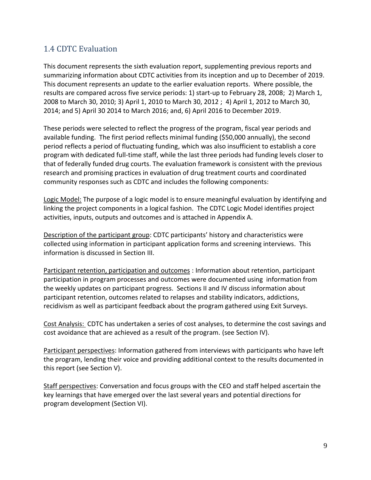## 1.4 CDTC Evaluation

This document represents the sixth evaluation report, supplementing previous reports and summarizing information about CDTC activities from its inception and up to December of 2019. This document represents an update to the earlier evaluation reports. Where possible, the results are compared across five service periods: 1) start-up to February 28, 2008; 2) March 1, 2008 to March 30, 2010; 3) April 1, 2010 to March 30, 2012 ; 4) April 1, 2012 to March 30, 2014; and 5) April 30 2014 to March 2016; and, 6) April 2016 to December 2019.

These periods were selected to reflect the progress of the program, fiscal year periods and available funding. The first period reflects minimal funding (\$50,000 annually), the second period reflects a period of fluctuating funding, which was also insufficient to establish a core program with dedicated full-time staff, while the last three periods had funding levels closer to that of federally funded drug courts. The evaluation framework is consistent with the previous research and promising practices in evaluation of drug treatment courts and coordinated community responses such as CDTC and includes the following components:

Logic Model: The purpose of a logic model is to ensure meaningful evaluation by identifying and linking the project components in a logical fashion. The CDTC Logic Model identifies project activities, inputs, outputs and outcomes and is attached in Appendix A.

Description of the participant group: CDTC participants' history and characteristics were collected using information in participant application forms and screening interviews. This information is discussed in Section III.

Participant retention, participation and outcomes : Information about retention, participant participation in program processes and outcomes were documented using information from the weekly updates on participant progress. Sections II and IV discuss information about participant retention, outcomes related to relapses and stability indicators, addictions, recidivism as well as participant feedback about the program gathered using Exit Surveys.

Cost Analysis: CDTC has undertaken a series of cost analyses, to determine the cost savings and cost avoidance that are achieved as a result of the program. (see Section IV).

Participant perspectives: Information gathered from interviews with participants who have left the program, lending their voice and providing additional context to the results documented in this report (see Section V).

Staff perspectives: Conversation and focus groups with the CEO and staff helped ascertain the key learnings that have emerged over the last several years and potential directions for program development (Section VI).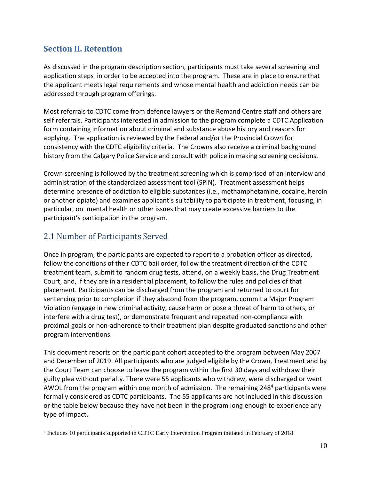## <span id="page-9-0"></span>**Section II. Retention**

As discussed in the program description section, participants must take several screening and application steps in order to be accepted into the program. These are in place to ensure that the applicant meets legal requirements and whose mental health and addiction needs can be addressed through program offerings.

Most referrals to CDTC come from defence lawyers or the Remand Centre staff and others are self referrals. Participants interested in admission to the program complete a CDTC Application form containing information about criminal and substance abuse history and reasons for applying. The application is reviewed by the Federal and/or the Provincial Crown for consistency with the CDTC eligibility criteria. The Crowns also receive a criminal background history from the Calgary Police Service and consult with police in making screening decisions.

Crown screening is followed by the treatment screening which is comprised of an interview and administration of the standardized assessment tool (SPiN). Treatment assessment helps determine presence of addiction to eligible substances (i.e., methamphetamine, cocaine, heroin or another opiate) and examines applicant's suitability to participate in treatment, focusing, in particular, on mental health or other issues that may create excessive barriers to the participant's participation in the program.

## <span id="page-9-1"></span>2.1 Number of Participants Served

Once in program, the participants are expected to report to a probation officer as directed, follow the conditions of their CDTC bail order, follow the treatment direction of the CDTC treatment team, submit to random drug tests, attend, on a weekly basis, the Drug Treatment Court, and, if they are in a residential placement, to follow the rules and policies of that placement. Participants can be discharged from the program and returned to court for sentencing prior to completion if they abscond from the program, commit a Major Program Violation (engage in new criminal activity, cause harm or pose a threat of harm to others, or interfere with a drug test), or demonstrate frequent and repeated non-compliance with proximal goals or non-adherence to their treatment plan despite graduated sanctions and other program interventions.

This document reports on the participant cohort accepted to the program between May 2007 and December of 2019. All participants who are judged eligible by the Crown, Treatment and by the Court Team can choose to leave the program within the first 30 days and withdraw their guilty plea without penalty. There were 55 applicants who withdrew, were discharged or went AWOL from the program within one month of admission. The remaining 248<sup>4</sup> participants were formally considered as CDTC participants. The 55 applicants are not included in this discussion or the table below because they have not been in the program long enough to experience any type of impact.

<sup>4</sup> Includes 10 participants supported in CDTC Early Intervention Program initiated in February of 2018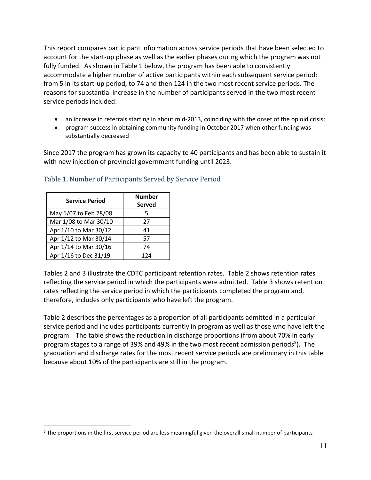This report compares participant information across service periods that have been selected to account for the start-up phase as well as the earlier phases during which the program was not fully funded. As shown in Table 1 below, the program has been able to consistently accommodate a higher number of active participants within each subsequent service period: from 5 in its start-up period, to 74 and then 124 in the two most recent service periods. The reasons for substantial increase in the number of participants served in the two most recent service periods included:

- an increase in referrals starting in about mid-2013, coinciding with the onset of the opioid crisis;
- program success in obtaining community funding in October 2017 when other funding was substantially decreased

Since 2017 the program has grown its capacity to 40 participants and has been able to sustain it with new injection of provincial government funding until 2023.

| <b>Service Period</b> | <b>Number</b><br>Served |
|-----------------------|-------------------------|
| May 1/07 to Feb 28/08 | 5                       |
| Mar 1/08 to Mar 30/10 | 27                      |
| Apr 1/10 to Mar 30/12 | 41                      |
| Apr 1/12 to Mar 30/14 | 57                      |
| Apr 1/14 to Mar 30/16 | 74                      |
| Apr 1/16 to Dec 31/19 | 124                     |

#### <span id="page-10-0"></span>Table 1. Number of Participants Served by Service Period

Tables 2 and 3 illustrate the CDTC participant retention rates. Table 2 shows retention rates reflecting the service period in which the participants were admitted. Table 3 shows retention rates reflecting the service period in which the participants completed the program and, therefore, includes only participants who have left the program.

Table 2 describes the percentages as a proportion of all participants admitted in a particular service period and includes participants currently in program as well as those who have left the program. The table shows the reduction in discharge proportions (from about 70% in early program stages to a range of 39% and 49% in the two most recent admission periods<sup>5</sup>). The graduation and discharge rates for the most recent service periods are preliminary in this table because about 10% of the participants are still in the program.

<sup>&</sup>lt;sup>5</sup> The proportions in the first service period are less meaningful given the overall small number of participants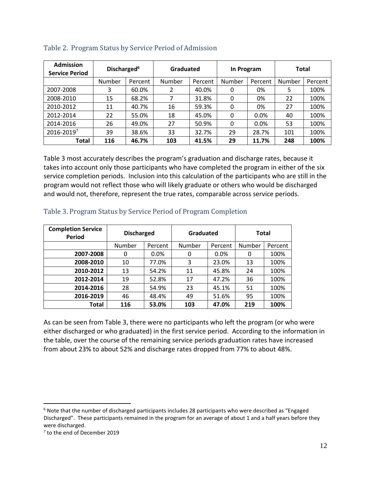| <b>Admission</b><br><b>Service Period</b> | Discharged <sup>6</sup> |         | Graduated |         | In Program |         | Total  |         |
|-------------------------------------------|-------------------------|---------|-----------|---------|------------|---------|--------|---------|
|                                           | Number                  | Percent | Number    | Percent | Number     | Percent | Number | Percent |
| 2007-2008                                 | 3                       | 60.0%   |           | 40.0%   | 0          | 0%      | 5      | 100%    |
| 2008-2010                                 | 15                      | 68.2%   |           | 31.8%   | 0          | 0%      | 22     | 100%    |
| 2010-2012                                 | 11                      | 40.7%   | 16        | 59.3%   | 0          | 0%      | 27     | 100%    |
| 2012-2014                                 | 22                      | 55.0%   | 18        | 45.0%   | 0          | 0.0%    | 40     | 100%    |
| 2014-2016                                 | 26                      | 49.0%   | 27        | 50.9%   | 0          | 0.0%    | 53     | 100%    |
| 2016-20197                                | 39                      | 38.6%   | 33        | 32.7%   | 29         | 28.7%   | 101    | 100%    |
| Total                                     | 116                     | 46.7%   | 103       | 41.5%   | 29         | 11.7%   | 248    | 100%    |

<span id="page-11-0"></span>

|  |  |  | Table 2. Program Status by Service Period of Admission |
|--|--|--|--------------------------------------------------------|
|  |  |  |                                                        |

Table 3 most accurately describes the program's graduation and discharge rates, because it takes into account only those participants who have completed the program in either of the six service completion periods. Inclusion into this calculation of the participants who are still in the program would not reflect those who will likely graduate or others who would be discharged and would not, therefore, represent the true rates, comparable across service periods.

| <b>Completion Service</b><br><b>Period</b> | <b>Discharged</b> |         | Graduated |         | <b>Total</b> |         |  |
|--------------------------------------------|-------------------|---------|-----------|---------|--------------|---------|--|
|                                            | Number            | Percent | Number    | Percent | Number       | Percent |  |
| 2007-2008                                  | 0                 | 0.0%    | 0         | $0.0\%$ | 0            | 100%    |  |
| 2008-2010                                  | 10                | 77.0%   | 3         | 23.0%   | 13           | 100%    |  |
| 2010-2012                                  | 13                | 54.2%   | 11        | 45.8%   | 24           | 100%    |  |
| 2012-2014                                  | 19                | 52.8%   | 17        | 47.2%   | 36           | 100%    |  |
| 2014-2016                                  | 28                | 54.9%   | 23        | 45.1%   | 51           | 100%    |  |
| 2016-2019                                  | 46                | 48.4%   | 49        | 51.6%   | 95           | 100%    |  |
| Total                                      | 116               | 53.0%   | 103       | 47.0%   | 219          | 100%    |  |

#### <span id="page-11-1"></span>Table 3. Program Status by Service Period of Program Completion

As can be seen from Table 3, there were no participants who left the program (or who were either discharged or who graduated) in the first service period. According to the information in the table, over the course of the remaining service periods graduation rates have increased from about 23% to about 52% and discharge rates dropped from 77% to about 48%.

 $6$  Note that the number of discharged participants includes 28 participants who were described as "Engaged Discharged". These participants remained in the program for an average of about 1 and a half years before they were discharged.

<sup>&</sup>lt;sup>7</sup> to the end of December 2019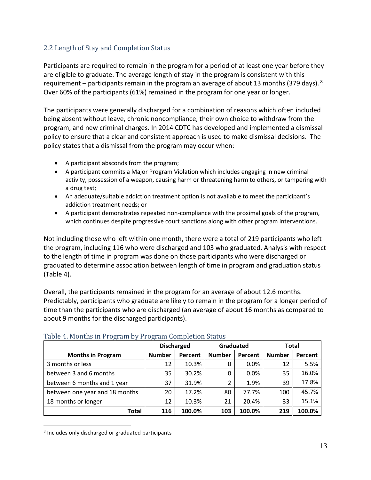## <span id="page-12-0"></span>2.2 Length of Stay and Completion Status

Participants are required to remain in the program for a period of at least one year before they are eligible to graduate. The average length of stay in the program is consistent with this requirement – participants remain in the program an average of about 13 months (379 days).  $^{8}$ Over 60% of the participants (61%) remained in the program for one year or longer.

The participants were generally discharged for a combination of reasons which often included being absent without leave, chronic noncompliance, their own choice to withdraw from the program, and new criminal charges. In 2014 CDTC has developed and implemented a dismissal policy to ensure that a clear and consistent approach is used to make dismissal decisions. The policy states that a dismissal from the program may occur when:

- A participant absconds from the program;
- A participant commits a Major Program Violation which includes engaging in new criminal activity, possession of a weapon, causing harm or threatening harm to others, or tampering with a drug test;
- An adequate/suitable addiction treatment option is not available to meet the participant's addiction treatment needs; or
- A participant demonstrates repeated non-compliance with the proximal goals of the program, which continues despite progressive court sanctions along with other program interventions.

Not including those who left within one month, there were a total of 219 participants who left the program, including 116 who were discharged and 103 who graduated. Analysis with respect to the length of time in program was done on those participants who were discharged or graduated to determine association between length of time in program and graduation status (Table 4).

Overall, the participants remained in the program for an average of about 12.6 months. Predictably, participants who graduate are likely to remain in the program for a longer period of time than the participants who are discharged (an average of about 16 months as compared to about 9 months for the discharged participants).

|                                |               | <b>Discharged</b> | Graduated     |         | <b>Total</b>  |         |
|--------------------------------|---------------|-------------------|---------------|---------|---------------|---------|
| <b>Months in Program</b>       | <b>Number</b> | Percent           | <b>Number</b> | Percent | <b>Number</b> | Percent |
| 3 months or less               | 12            | 10.3%             | 0             | $0.0\%$ | 12            | 5.5%    |
| between 3 and 6 months         | 35            | 30.2%             | 0             | $0.0\%$ | 35            | 16.0%   |
| between 6 months and 1 year    | 37            | 31.9%             | 2             | 1.9%    | 39            | 17.8%   |
| between one year and 18 months | 20            | 17.2%             | 80            | 77.7%   | 100           | 45.7%   |
| 18 months or longer            | 12            | 10.3%             | 21            | 20.4%   | 33            | 15.1%   |
| <b>Total</b>                   | 116           | 100.0%            | 103           | 100.0%  | 219           | 100.0%  |

## <span id="page-12-1"></span>Table 4. Months in Program by Program Completion Status

 $8$  Includes only discharged or graduated participants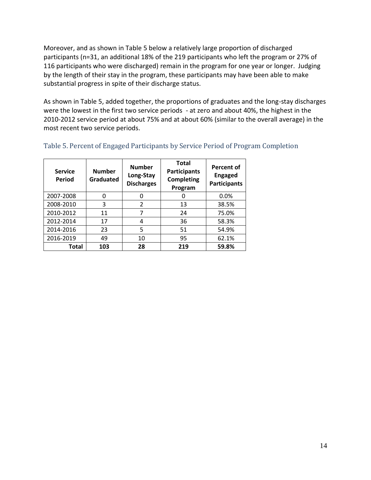Moreover, and as shown in Table 5 below a relatively large proportion of discharged participants (n=31, an additional 18% of the 219 participants who left the program or 27% of 116 participants who were discharged) remain in the program for one year or longer. Judging by the length of their stay in the program, these participants may have been able to make substantial progress in spite of their discharge status.

As shown in Table 5, added together, the proportions of graduates and the long-stay discharges were the lowest in the first two service periods - at zero and about 40%, the highest in the 2010-2012 service period at about 75% and at about 60% (similar to the overall average) in the most recent two service periods.

| <b>Service</b><br>Period | <b>Number</b><br><b>Graduated</b> | <b>Number</b><br>Long-Stay<br><b>Discharges</b> | <b>Total</b><br><b>Participants</b><br><b>Completing</b><br>Program | <b>Percent of</b><br><b>Engaged</b><br><b>Participants</b> |
|--------------------------|-----------------------------------|-------------------------------------------------|---------------------------------------------------------------------|------------------------------------------------------------|
| 2007-2008                | 0                                 | 0                                               | 0                                                                   | 0.0%                                                       |
| 2008-2010                | 3                                 | $\mathfrak{p}$                                  | 13                                                                  | 38.5%                                                      |
| 2010-2012                | 11                                |                                                 | 24                                                                  | 75.0%                                                      |
| 2012-2014                | 17                                | 4                                               | 36                                                                  | 58.3%                                                      |
| 2014-2016                | 23                                | 5                                               | 51                                                                  | 54.9%                                                      |
| 2016-2019                | 49                                | 10                                              | 95                                                                  | 62.1%                                                      |
| Total                    | 103                               | 28                                              | 219                                                                 | 59.8%                                                      |

## <span id="page-13-0"></span>Table 5. Percent of Engaged Participants by Service Period of Program Completion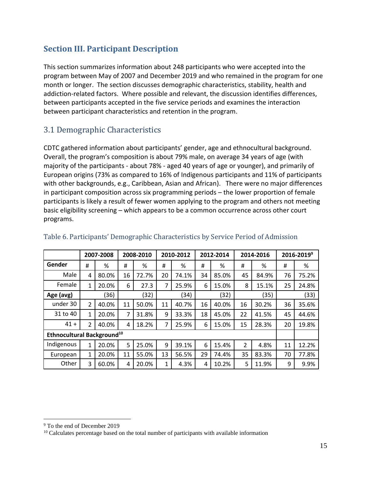## <span id="page-14-0"></span>**Section III. Participant Description**

This section summarizes information about 248 participants who were accepted into the program between May of 2007 and December 2019 and who remained in the program for one month or longer. The section discusses demographic characteristics, stability, health and addiction-related factors. Where possible and relevant, the discussion identifies differences, between participants accepted in the five service periods and examines the interaction between participant characteristics and retention in the program.

## <span id="page-14-1"></span>3.1 Demographic Characteristics

CDTC gathered information about participants' gender, age and ethnocultural background. Overall, the program's composition is about 79% male, on average 34 years of age (with majority of the participants - about 78% - aged 40 years of age or younger), and primarily of European origins (73% as compared to 16% of Indigenous participants and 11% of participants with other backgrounds, e.g., Caribbean, Asian and African). There were no major differences in participant composition across six programming periods – the lower proportion of female participants is likely a result of fewer women applying to the program and others not meeting basic eligibility screening – which appears to be a common occurrence across other court programs.

|                                        |                | 2007-2008 |    | 2008-2010 |              | 2010-2012 |    | 2012-2014 |                | 2014-2016 |    | 2016-2019 <sup>9</sup> |
|----------------------------------------|----------------|-----------|----|-----------|--------------|-----------|----|-----------|----------------|-----------|----|------------------------|
| Gender                                 | #              | %         | #  | %         | #            | %         | #  | %         | #              | %         | #  | %                      |
| Male                                   | 4              | 80.0%     | 16 | 72.7%     | 20           | 74.1%     | 34 | 85.0%     | 45             | 84.9%     | 76 | 75.2%                  |
| Female                                 | 1              | 20.0%     | 6  | 27.3      | 7            | 25.9%     | 6  | 15.0%     | 8              | 15.1%     | 25 | 24.8%                  |
| Age (avg)                              |                | (36)      |    | (32)      |              | (34)      |    | (32)      |                | (35)      |    | (33)                   |
| under 30                               | $\overline{2}$ | 40.0%     | 11 | 50.0%     | 11           | 40.7%     | 16 | 40.0%     | 16             | 30.2%     | 36 | 35.6%                  |
| 31 to 40                               | 1              | 20.0%     | 7  | 31.8%     | 9            | 33.3%     | 18 | 45.0%     | 22             | 41.5%     | 45 | 44.6%                  |
| $41 +$                                 | 2              | 40.0%     | 4  | 18.2%     | 7            | 25.9%     | 6  | 15.0%     | 15             | 28.3%     | 20 | 19.8%                  |
| Ethnocultural Background <sup>10</sup> |                |           |    |           |              |           |    |           |                |           |    |                        |
| Indigenous                             | $\mathbf{1}$   | 20.0%     | 5  | 25.0%     | 9            | 39.1%     | 6  | 15.4%     | $\overline{2}$ | 4.8%      | 11 | 12.2%                  |
| European                               | 1              | 20.0%     | 11 | 55.0%     | 13           | 56.5%     | 29 | 74.4%     | 35             | 83.3%     | 70 | 77.8%                  |
| Other                                  | 3              | 60.0%     | 4  | 20.0%     | $\mathbf{1}$ | 4.3%      | 4  | 10.2%     | 5              | 11.9%     | 9  | 9.9%                   |

## <span id="page-14-2"></span>Table 6. Participants' Demographic Characteristics by Service Period of Admission

<sup>9</sup> To the end of December 2019

<sup>&</sup>lt;sup>10</sup> Calculates percentage based on the total number of participants with available information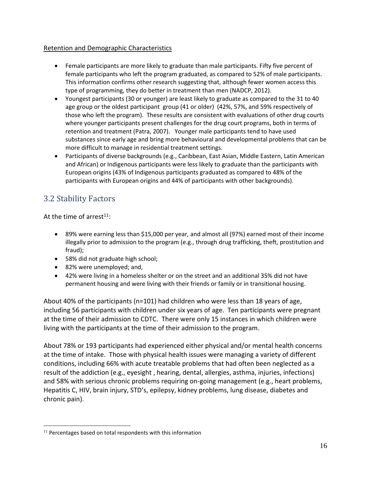## Retention and Demographic Characteristics

- Female participants are more likely to graduate than male participants. Fifty five percent of female participants who left the program graduated, as compared to 52% of male participants. This information confirms other research suggesting that, although fewer women access this type of programming, they do better in treatment than men (NADCP, 2012).
- Youngest participants (30 or younger) are least likely to graduate as compared to the 31 to 40 age group or the oldest participant group (41 or older) (42%, 57%, and 59% respectively of those who left the program). These results are consistent with evaluations of other drug courts where younger participants present challenges for the drug court programs, both in terms of retention and treatment (Patra, 2007). Younger male participants tend to have used substances since early age and bring more behavioural and developmental problems that can be more difficult to manage in residential treatment settings.
- Participants of diverse backgrounds (e.g., Caribbean, East Asian, Middle Eastern, Latin American and African) or Indigenous participants were less likely to graduate than the participants with European origins (43% of Indigenous participants graduated as compared to 48% of the participants with European origins and 44% of participants with other backgrounds).

## <span id="page-15-0"></span>3.2 Stability Factors

At the time of arrest $11$ :

- 89% were earning less than \$15,000 per year, and almost all (97%) earned most of their income illegally prior to admission to the program (e.g., through drug trafficking, theft, prostitution and fraud);
- 58% did not graduate high school;
- 82% were unemployed; and,
- 42% were living in a homeless shelter or on the street and an additional 35% did not have permanent housing and were living with their friends or family or in transitional housing.

About 40% of the participants (n=101) had children who were less than 18 years of age, including 56 participants with children under six years of age. Ten participants were pregnant at the time of their admission to CDTC. There were only 15 instances in which children were living with the participants at the time of their admission to the program.

About 78% or 193 participants had experienced either physical and/or mental health concerns at the time of intake. Those with physical health issues were managing a variety of different conditions, including 66% with acute treatable problems that had often been neglected as a result of the addiction (e.g., eyesight , hearing, dental, allergies, asthma, injuries, infections) and 58% with serious chronic problems requiring on-going management (e.g., heart problems, Hepatitis C, HIV, brain injury, STD's, epilepsy, kidney problems, lung disease, diabetes and chronic pain).

 $11$  Percentages based on total respondents with this information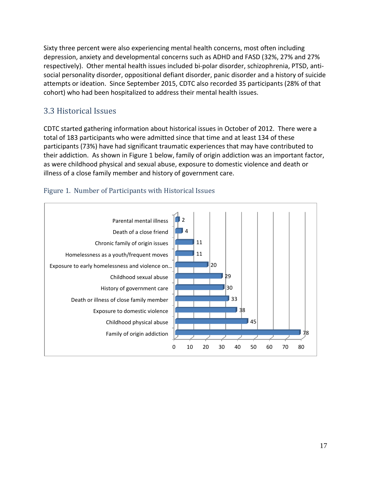Sixty three percent were also experiencing mental health concerns, most often including depression, anxiety and developmental concerns such as ADHD and FASD (32%, 27% and 27% respectively). Other mental health issues included bi-polar disorder, schizophrenia, PTSD, antisocial personality disorder, oppositional defiant disorder, panic disorder and a history of suicide attempts or ideation. Since September 2015, CDTC also recorded 35 participants (28% of that cohort) who had been hospitalized to address their mental health issues.

## <span id="page-16-0"></span>3.3 Historical Issues

CDTC started gathering information about historical issues in October of 2012. There were a total of 183 participants who were admitted since that time and at least 134 of these participants (73%) have had significant traumatic experiences that may have contributed to their addiction. As shown in Figure 1 below, family of origin addiction was an important factor, as were childhood physical and sexual abuse, exposure to domestic violence and death or illness of a close family member and history of government care.



## <span id="page-16-1"></span>Figure 1. Number of Participants with Historical Issues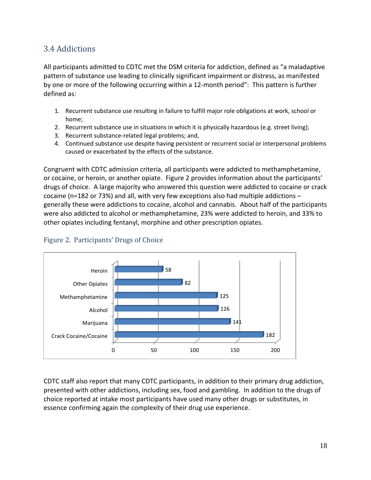## <span id="page-17-0"></span>3.4 Addictions

All participants admitted to CDTC met the DSM criteria for addiction, defined as "a maladaptive pattern of substance use leading to clinically significant impairment or distress, as manifested by one or more of the following occurring within a 12-month period": This pattern is further defined as:

- 1. Recurrent substance use resulting in failure to fulfill major role obligations at work, school or home;
- 2. Recurrent substance use in situations in which it is physically hazardous (e.g. street living);
- 3. Recurrent substance-related legal problems; and,
- 4. Continued substance use despite having persistent or recurrent social or interpersonal problems caused or exacerbated by the effects of the substance.

Congruent with CDTC admission criteria, all participants were addicted to methamphetamine, or cocaine, or heroin, or another opiate. Figure 2 provides information about the participants' drugs of choice. A large majority who answered this question were addicted to cocaine or crack cocaine (n=182 or 73%) and all, with very few exceptions also had multiple addictions – generally these were addictions to cocaine, alcohol and cannabis. About half of the participants were also addicted to alcohol or methamphetamine, 23% were addicted to heroin, and 33% to other opiates including fentanyl, morphine and other prescription opiates.



## <span id="page-17-1"></span>Figure 2. Participants' Drugs of Choice

CDTC staff also report that many CDTC participants, in addition to their primary drug addiction, presented with other addictions, including sex, food and gambling. In addition to the drugs of choice reported at intake most participants have used many other drugs or substitutes, in essence confirming again the complexity of their drug use experience.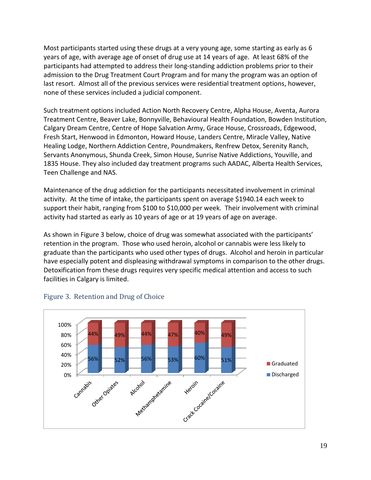Most participants started using these drugs at a very young age, some starting as early as 6 years of age, with average age of onset of drug use at 14 years of age. At least 68% of the participants had attempted to address their long-standing addiction problems prior to their admission to the Drug Treatment Court Program and for many the program was an option of last resort. Almost all of the previous services were residential treatment options, however, none of these services included a judicial component.

Such treatment options included Action North Recovery Centre, Alpha House, Aventa, Aurora Treatment Centre, Beaver Lake, Bonnyville, Behavioural Health Foundation, Bowden Institution, Calgary Dream Centre, Centre of Hope Salvation Army, Grace House, Crossroads, Edgewood, Fresh Start, Henwood in Edmonton, Howard House, Landers Centre, Miracle Valley, Native Healing Lodge, Northern Addiction Centre, Poundmakers, Renfrew Detox, Serenity Ranch, Servants Anonymous, Shunda Creek, Simon House, Sunrise Native Addictions, Youville, and 1835 House. They also included day treatment programs such AADAC, Alberta Health Services, Teen Challenge and NAS.

Maintenance of the drug addiction for the participants necessitated involvement in criminal activity. At the time of intake, the participants spent on average \$1940.14 each week to support their habit, ranging from \$100 to \$10,000 per week. Their involvement with criminal activity had started as early as 10 years of age or at 19 years of age on average.

As shown in Figure 3 below, choice of drug was somewhat associated with the participants' retention in the program. Those who used heroin, alcohol or cannabis were less likely to graduate than the participants who used other types of drugs. Alcohol and heroin in particular have especially potent and displeasing withdrawal symptoms in comparison to the other drugs. Detoxification from these drugs requires very specific medical attention and access to such facilities in Calgary is limited.



## <span id="page-18-0"></span>Figure 3. Retention and Drug of Choice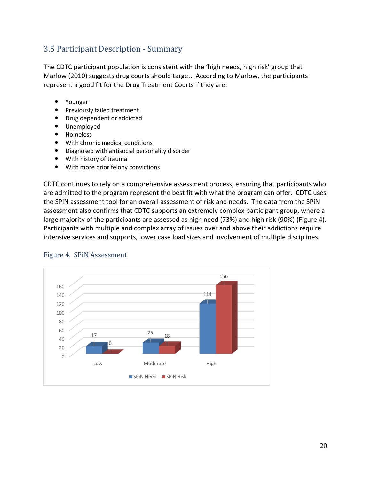## <span id="page-19-0"></span>3.5 Participant Description - Summary

The CDTC participant population is consistent with the 'high needs, high risk' group that Marlow (2010) suggests drug courts should target. According to Marlow, the participants represent a good fit for the Drug Treatment Courts if they are:

- Younger
- Previously failed treatment
- Drug dependent or addicted
- Unemployed
- Homeless
- With chronic medical conditions
- Diagnosed with antisocial personality disorder
- With history of trauma
- With more prior felony convictions

CDTC continues to rely on a comprehensive assessment process, ensuring that participants who are admitted to the program represent the best fit with what the program can offer. CDTC uses the SPiN assessment tool for an overall assessment of risk and needs. The data from the SPiN assessment also confirms that CDTC supports an extremely complex participant group, where a large majority of the participants are assessed as high need (73%) and high risk (90%) (Figure 4). Participants with multiple and complex array of issues over and above their addictions require intensive services and supports, lower case load sizes and involvement of multiple disciplines.



## <span id="page-19-1"></span>Figure 4. SPiN Assessment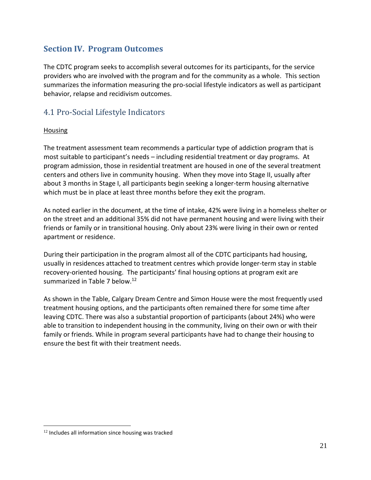## <span id="page-20-0"></span>**Section IV. Program Outcomes**

The CDTC program seeks to accomplish several outcomes for its participants, for the service providers who are involved with the program and for the community as a whole. This section summarizes the information measuring the pro-social lifestyle indicators as well as participant behavior, relapse and recidivism outcomes.

## <span id="page-20-1"></span>4.1 Pro-Social Lifestyle Indicators

#### Housing

The treatment assessment team recommends a particular type of addiction program that is most suitable to participant's needs – including residential treatment or day programs. At program admission, those in residential treatment are housed in one of the several treatment centers and others live in community housing. When they move into Stage II, usually after about 3 months in Stage I, all participants begin seeking a longer-term housing alternative which must be in place at least three months before they exit the program.

As noted earlier in the document, at the time of intake, 42% were living in a homeless shelter or on the street and an additional 35% did not have permanent housing and were living with their friends or family or in transitional housing. Only about 23% were living in their own or rented apartment or residence.

During their participation in the program almost all of the CDTC participants had housing, usually in residences attached to treatment centres which provide longer-term stay in stable recovery-oriented housing. The participants' final housing options at program exit are summarized in Table 7 below.<sup>12</sup>

As shown in the Table, Calgary Dream Centre and Simon House were the most frequently used treatment housing options, and the participants often remained there for some time after leaving CDTC. There was also a substantial proportion of participants (about 24%) who were able to transition to independent housing in the community, living on their own or with their family or friends. While in program several participants have had to change their housing to ensure the best fit with their treatment needs.

<sup>&</sup>lt;sup>12</sup> Includes all information since housing was tracked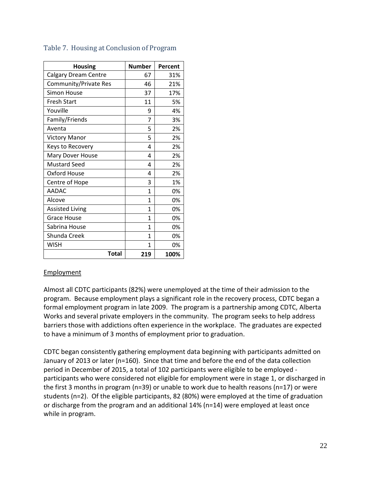| <b>Housing</b>              | <b>Number</b> | Percent |
|-----------------------------|---------------|---------|
| <b>Calgary Dream Centre</b> | 67            | 31%     |
| Community/Private Res       | 46            | 21%     |
| <b>Simon House</b>          | 37            | 17%     |
| <b>Fresh Start</b>          | 11            | 5%      |
| Youville                    | 9             | 4%      |
| Family/Friends              | 7             | 3%      |
| Aventa                      | 5             | 2%      |
| <b>Victory Manor</b>        | 5             | 2%      |
| Keys to Recovery            | 4             | 2%      |
| Mary Dover House            | 4             | 2%      |
| <b>Mustard Seed</b>         | 4             | 2%      |
| Oxford House                | 4             | 2%      |
| Centre of Hope              | 3             | 1%      |
| <b>AADAC</b>                | 1             | 0%      |
| Alcove                      | 1             | 0%      |
| <b>Assisted Living</b>      | 1             | 0%      |
| Grace House                 | 1             | 0%      |
| Sabrina House               | 1             | 0%      |
| Shunda Creek                | 1             | 0%      |
| WISH                        | 1             | 0%      |
| Total                       | 219           | 100%    |

## <span id="page-21-0"></span>Table 7. Housing at Conclusion of Program

## Employment

Almost all CDTC participants (82%) were unemployed at the time of their admission to the program. Because employment plays a significant role in the recovery process, CDTC began a formal employment program in late 2009. The program is a partnership among CDTC, Alberta Works and several private employers in the community. The program seeks to help address barriers those with addictions often experience in the workplace. The graduates are expected to have a minimum of 3 months of employment prior to graduation.

CDTC began consistently gathering employment data beginning with participants admitted on January of 2013 or later (n=160). Since that time and before the end of the data collection period in December of 2015, a total of 102 participants were eligible to be employed participants who were considered not eligible for employment were in stage 1, or discharged in the first 3 months in program (n=39) or unable to work due to health reasons (n=17) or were students (n=2). Of the eligible participants, 82 (80%) were employed at the time of graduation or discharge from the program and an additional 14% (n=14) were employed at least once while in program.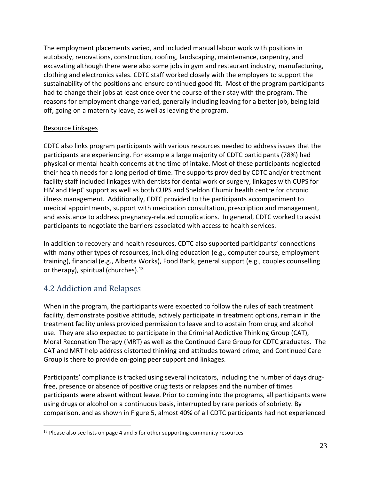The employment placements varied, and included manual labour work with positions in autobody, renovations, construction, roofing, landscaping, maintenance, carpentry, and excavating although there were also some jobs in gym and restaurant industry, manufacturing, clothing and electronics sales. CDTC staff worked closely with the employers to support the sustainability of the positions and ensure continued good fit. Most of the program participants had to change their jobs at least once over the course of their stay with the program. The reasons for employment change varied, generally including leaving for a better job, being laid off, going on a maternity leave, as well as leaving the program.

## Resource Linkages

CDTC also links program participants with various resources needed to address issues that the participants are experiencing. For example a large majority of CDTC participants (78%) had physical or mental health concerns at the time of intake. Most of these participants neglected their health needs for a long period of time. The supports provided by CDTC and/or treatment facility staff included linkages with dentists for dental work or surgery, linkages with CUPS for HIV and HepC support as well as both CUPS and Sheldon Chumir health centre for chronic illness management. Additionally, CDTC provided to the participants accompaniment to medical appointments, support with medication consultation, prescription and management, and assistance to address pregnancy-related complications. In general, CDTC worked to assist participants to negotiate the barriers associated with access to health services.

In addition to recovery and health resources, CDTC also supported participants' connections with many other types of resources, including education (e.g., computer course, employment training), financial (e.g., Alberta Works), Food Bank, general support (e.g., couples counselling or therapy), spiritual (churches).<sup>13</sup>

## <span id="page-22-0"></span>4.2 Addiction and Relapses

When in the program, the participants were expected to follow the rules of each treatment facility, demonstrate positive attitude, actively participate in treatment options, remain in the treatment facility unless provided permission to leave and to abstain from drug and alcohol use. They are also expected to participate in the Criminal Addictive Thinking Group (CAT), Moral Reconation Therapy (MRT) as well as the Continued Care Group for CDTC graduates. The CAT and MRT help address distorted thinking and attitudes toward crime, and Continued Care Group is there to provide on-going peer support and linkages.

Participants' compliance is tracked using several indicators, including the number of days drugfree, presence or absence of positive drug tests or relapses and the number of times participants were absent without leave. Prior to coming into the programs, all participants were using drugs or alcohol on a continuous basis, interrupted by rare periods of sobriety. By comparison, and as shown in Figure 5, almost 40% of all CDTC participants had not experienced

 $13$  Please also see lists on page 4 and 5 for other supporting community resources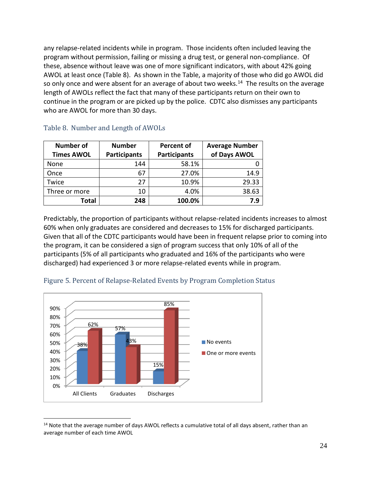any relapse-related incidents while in program. Those incidents often included leaving the program without permission, failing or missing a drug test, or general non-compliance. Of these, absence without leave was one of more significant indicators, with about 42% going AWOL at least once (Table 8). As shown in the Table, a majority of those who did go AWOL did so only once and were absent for an average of about two weeks.<sup>14</sup> The results on the average length of AWOLs reflect the fact that many of these participants return on their own to continue in the program or are picked up by the police. CDTC also dismisses any participants who are AWOL for more than 30 days.

| <b>Number of</b>  | <b>Number</b>       | <b>Percent of</b>   | <b>Average Number</b> |
|-------------------|---------------------|---------------------|-----------------------|
| <b>Times AWOL</b> | <b>Participants</b> | <b>Participants</b> | of Days AWOL          |
| None              | 144                 | 58.1%               |                       |
| Once              | 67                  | 27.0%               | 14.9                  |
| Twice             | 27                  | 10.9%               | 29.33                 |
| Three or more     | 10                  | 4.0%                | 38.63                 |
| Total             | 248                 | 100.0%              | 7.9                   |

#### <span id="page-23-0"></span>Table 8. Number and Length of AWOLs

Predictably, the proportion of participants without relapse-related incidents increases to almost 60% when only graduates are considered and decreases to 15% for discharged participants. Given that all of the CDTC participants would have been in frequent relapse prior to coming into the program, it can be considered a sign of program success that only 10% of all of the participants (5% of all participants who graduated and 16% of the participants who were discharged) had experienced 3 or more relapse-related events while in program.



## <span id="page-23-1"></span>Figure 5. Percent of Relapse-Related Events by Program Completion Status

<sup>&</sup>lt;sup>14</sup> Note that the average number of days AWOL reflects a cumulative total of all days absent, rather than an average number of each time AWOL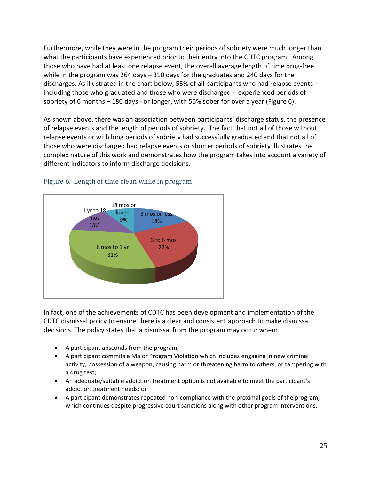Furthermore, while they were in the program their periods of sobriety were much longer than what the participants have experienced prior to their entry into the CDTC program. Among those who have had at least one relapse event, the overall average length of time drug-free while in the program was 264 days – 310 days for the graduates and 240 days for the discharges. As illustrated in the chart below, 55% of all participants who had relapse events – including those who graduated and those who were discharged - experienced periods of sobriety of 6 months – 180 days - or longer, with 56% sober for over a year (Figure 6).

As shown above, there was an association between participants' discharge status, the presence of relapse events and the length of periods of sobriety. The fact that not all of those without relapse events or with long periods of sobriety had successfully graduated and that not all of those who were discharged had relapse events or shorter periods of sobriety illustrates the complex nature of this work and demonstrates how the program takes into account a variety of different indicators to inform discharge decisions.



## <span id="page-24-0"></span>Figure 6. Length of time clean while in program

In fact, one of the achievements of CDTC has been development and implementation of the CDTC dismissal policy to ensure there is a clear and consistent approach to make dismissal decisions. The policy states that a dismissal from the program may occur when:

- A participant absconds from the program;
- A participant commits a Major Program Violation which includes engaging in new criminal activity, possession of a weapon, causing harm or threatening harm to others, or tampering with a drug test;
- An adequate/suitable addiction treatment option is not available to meet the participant's addiction treatment needs; or
- A participant demonstrates repeated non-compliance with the proximal goals of the program, which continues despite progressive court sanctions along with other program interventions.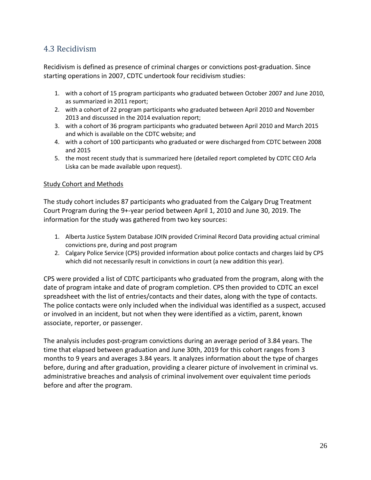## <span id="page-25-0"></span>4.3 Recidivism

Recidivism is defined as presence of criminal charges or convictions post-graduation. Since starting operations in 2007, CDTC undertook four recidivism studies:

- 1. with a cohort of 15 program participants who graduated between October 2007 and June 2010, as summarized in 2011 report;
- 2. with a cohort of 22 program participants who graduated between April 2010 and November 2013 and discussed in the 2014 evaluation report;
- 3. with a cohort of 36 program participants who graduated between April 2010 and March 2015 and which is available on the CDTC website; and
- 4. with a cohort of 100 participants who graduated or were discharged from CDTC between 2008 and 2015
- 5. the most recent study that is summarized here (detailed report completed by CDTC CEO Arla Liska can be made available upon request).

#### Study Cohort and Methods

The study cohort includes 87 participants who graduated from the Calgary Drug Treatment Court Program during the 9+-year period between April 1, 2010 and June 30, 2019. The information for the study was gathered from two key sources:

- 1. Alberta Justice System Database JOIN provided Criminal Record Data providing actual criminal convictions pre, during and post program
- 2. Calgary Police Service (CPS) provided information about police contacts and charges laid by CPS which did not necessarily result in convictions in court (a new addition this year).

CPS were provided a list of CDTC participants who graduated from the program, along with the date of program intake and date of program completion. CPS then provided to CDTC an excel spreadsheet with the list of entries/contacts and their dates, along with the type of contacts. The police contacts were only included when the individual was identified as a suspect, accused or involved in an incident, but not when they were identified as a victim, parent, known associate, reporter, or passenger.

The analysis includes post-program convictions during an average period of 3.84 years. The time that elapsed between graduation and June 30th, 2019 for this cohort ranges from 3 months to 9 years and averages 3.84 years. It analyzes information about the type of charges before, during and after graduation, providing a clearer picture of involvement in criminal vs. administrative breaches and analysis of criminal involvement over equivalent time periods before and after the program.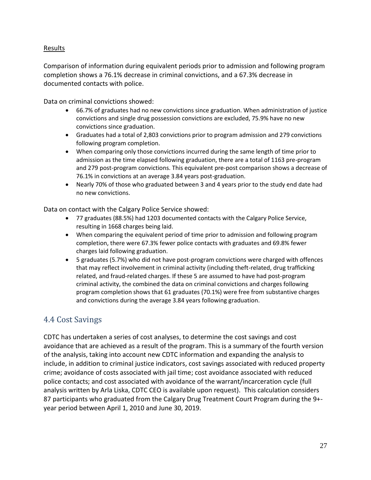## Results

Comparison of information during equivalent periods prior to admission and following program completion shows a 76.1% decrease in criminal convictions, and a 67.3% decrease in documented contacts with police.

Data on criminal convictions showed:

- 66.7% of graduates had no new convictions since graduation. When administration of justice convictions and single drug possession convictions are excluded, 75.9% have no new convictions since graduation.
- Graduates had a total of 2,803 convictions prior to program admission and 279 convictions following program completion.
- When comparing only those convictions incurred during the same length of time prior to admission as the time elapsed following graduation, there are a total of 1163 pre-program and 279 post-program convictions. This equivalent pre-post comparison shows a decrease of 76.1% in convictions at an average 3.84 years post-graduation.
- Nearly 70% of those who graduated between 3 and 4 years prior to the study end date had no new convictions.

Data on contact with the Calgary Police Service showed:

- 77 graduates (88.5%) had 1203 documented contacts with the Calgary Police Service, resulting in 1668 charges being laid.
- When comparing the equivalent period of time prior to admission and following program completion, there were 67.3% fewer police contacts with graduates and 69.8% fewer charges laid following graduation.
- 5 graduates (5.7%) who did not have post-program convictions were charged with offences that may reflect involvement in criminal activity (including theft-related, drug trafficking related, and fraud-related charges. If these 5 are assumed to have had post-program criminal activity, the combined the data on criminal convictions and charges following program completion shows that 61 graduates (70.1%) were free from substantive charges and convictions during the average 3.84 years following graduation.

## <span id="page-26-0"></span>4.4 Cost Savings

CDTC has undertaken a series of cost analyses, to determine the cost savings and cost avoidance that are achieved as a result of the program. This is a summary of the fourth version of the analysis, taking into account new CDTC information and expanding the analysis to include, in addition to criminal justice indicators, cost savings associated with reduced property crime; avoidance of costs associated with jail time; cost avoidance associated with reduced police contacts; and cost associated with avoidance of the warrant/incarceration cycle (full analysis written by Arla Liska, CDTC CEO is available upon request). This calculation considers 87 participants who graduated from the Calgary Drug Treatment Court Program during the 9+ year period between April 1, 2010 and June 30, 2019.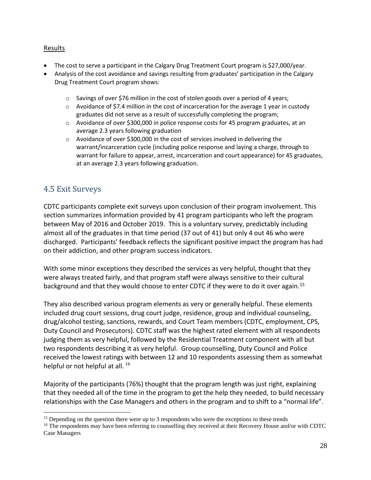## Results

- The cost to serve a participant in the Calgary Drug Treatment Court program is \$27,000/year.
- Analysis of the cost avoidance and savings resulting from graduates' participation in the Calgary Drug Treatment Court program shows:
	- $\circ$  Savings of over \$76 million in the cost of stolen goods over a period of 4 years;
	- o Avoidance of \$7.4 million in the cost of incarceration for the average 1 year in custody graduates did not serve as a result of successfully completing the program;
	- $\circ$  Avoidance of over \$300,000 in police response costs for 45 program graduates, at an average 2.3 years following graduation
	- o Avoidance of over \$300,000 in the cost of services involved in delivering the warrant/incarceration cycle (including police response and laying a charge, through to warrant for failure to appear, arrest, incarceration and court appearance) for 45 graduates, at an average 2.3 years following graduation.

## <span id="page-27-0"></span>4.5 Exit Surveys

CDTC participants complete exit surveys upon conclusion of their program involvement. This section summarizes information provided by 41 program participants who left the program between May of 2016 and October 2019. This is a voluntary survey, predictably including almost all of the graduates in that time period (37 out of 41) but only 4 out 46 who were discharged. Participants' feedback reflects the significant positive impact the program has had on their addiction, and other program success indicators.

With some minor exceptions they described the services as very helpful, thought that they were always treated fairly, and that program staff were always sensitive to their cultural background and that they would choose to enter CDTC if they were to do it over again.<sup>15</sup>

They also described various program elements as very or generally helpful. These elements included drug court sessions, drug court judge, residence, group and individual counseling, drug/alcohol testing, sanctions, rewards, and Court Team members (CDTC, employment, CPS, Duty Council and Prosecutors). CDTC staff was the highest rated element with all respondents judging them as very helpful, followed by the Residential Treatment component with all but two respondents describing it as very helpful. Group counselling, Duty Council and Police received the lowest ratings with between 12 and 10 respondents assessing them as somewhat helpful or not helpful at all.  $^{16}$ 

Majority of the participants (76%) thought that the program length was just right, explaining that they needed all of the time in the program to get the help they needed, to build necessary relationships with the Case Managers and others in the program and to shift to a "normal life".

<sup>&</sup>lt;sup>15</sup> Depending on the question there were up to 3 respondents who were the exceptions to these trends

<sup>&</sup>lt;sup>16</sup> The respondents may have been referring to counselling they received at their Recovery House and/or with CDTC Case Managers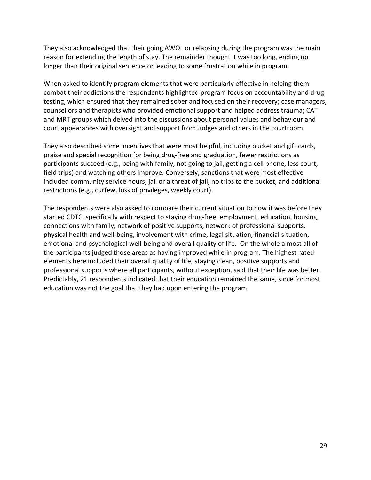They also acknowledged that their going AWOL or relapsing during the program was the main reason for extending the length of stay. The remainder thought it was too long, ending up longer than their original sentence or leading to some frustration while in program.

When asked to identify program elements that were particularly effective in helping them combat their addictions the respondents highlighted program focus on accountability and drug testing, which ensured that they remained sober and focused on their recovery; case managers, counsellors and therapists who provided emotional support and helped address trauma; CAT and MRT groups which delved into the discussions about personal values and behaviour and court appearances with oversight and support from Judges and others in the courtroom.

They also described some incentives that were most helpful, including bucket and gift cards, praise and special recognition for being drug-free and graduation, fewer restrictions as participants succeed (e.g., being with family, not going to jail, getting a cell phone, less court, field trips) and watching others improve. Conversely, sanctions that were most effective included community service hours, jail or a threat of jail, no trips to the bucket, and additional restrictions (e.g., curfew, loss of privileges, weekly court).

The respondents were also asked to compare their current situation to how it was before they started CDTC, specifically with respect to staying drug-free, employment, education, housing, connections with family, network of positive supports, network of professional supports, physical health and well-being, involvement with crime, legal situation, financial situation, emotional and psychological well-being and overall quality of life. On the whole almost all of the participants judged those areas as having improved while in program. The highest rated elements here included their overall quality of life, staying clean, positive supports and professional supports where all participants, without exception, said that their life was better. Predictably, 21 respondents indicated that their education remained the same, since for most education was not the goal that they had upon entering the program.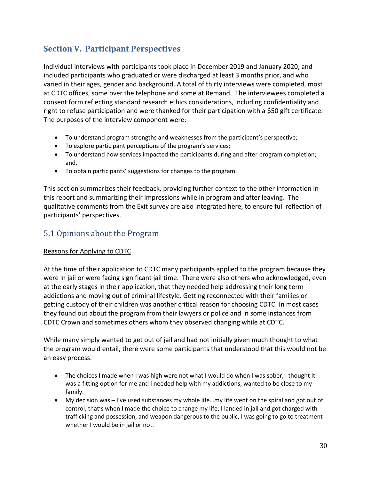## <span id="page-29-0"></span>**Section V. Participant Perspectives**

Individual interviews with participants took place in December 2019 and January 2020, and included participants who graduated or were discharged at least 3 months prior, and who varied in their ages, gender and background. A total of thirty interviews were completed, most at CDTC offices, some over the telephone and some at Remand. The interviewees completed a consent form reflecting standard research ethics considerations, including confidentiality and right to refuse participation and were thanked for their participation with a \$50 gift certificate. The purposes of the interview component were:

- To understand program strengths and weaknesses from the participant's perspective;
- To explore participant perceptions of the program's services;
- To understand how services impacted the participants during and after program completion; and,
- To obtain participants' suggestions for changes to the program.

This section summarizes their feedback, providing further context to the other information in this report and summarizing their impressions while in program and after leaving. The qualitative comments from the Exit survey are also integrated here, to ensure full reflection of participants' perspectives.

## <span id="page-29-1"></span>5.1 Opinions about the Program

## Reasons for Applying to CDTC

At the time of their application to CDTC many participants applied to the program because they were in jail or were facing significant jail time. There were also others who acknowledged, even at the early stages in their application, that they needed help addressing their long term addictions and moving out of criminal lifestyle. Getting reconnected with their families or getting custody of their children was another critical reason for choosing CDTC. In most cases they found out about the program from their lawyers or police and in some instances from CDTC Crown and sometimes others whom they observed changing while at CDTC.

While many simply wanted to get out of jail and had not initially given much thought to what the program would entail, there were some participants that understood that this would not be an easy process.

- The choices I made when I was high were not what I would do when I was sober, I thought it was a fitting option for me and I needed help with my addictions, wanted to be close to my family.
- My decision was I've used substances my whole life…my life went on the spiral and got out of control, that's when I made the choice to change my life; I landed in jail and got charged with trafficking and possession, and weapon dangerous to the public, I was going to go to treatment whether I would be in jail or not.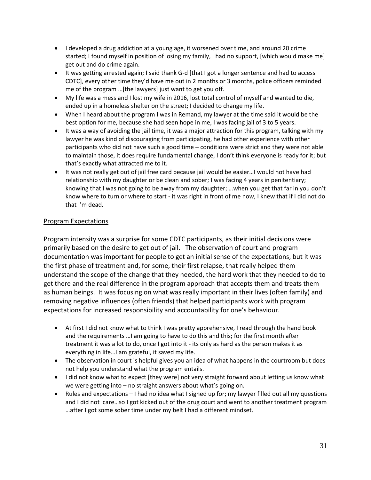- I developed a drug addiction at a young age, it worsened over time, and around 20 crime started; I found myself in position of losing my family, I had no support, [which would make me] get out and do crime again.
- It was getting arrested again; I said thank G-d [that I got a longer sentence and had to access CDTC], every other time they'd have me out in 2 months or 3 months, police officers reminded me of the program …[the lawyers] just want to get you off.
- My life was a mess and I lost my wife in 2016, lost total control of myself and wanted to die, ended up in a homeless shelter on the street; I decided to change my life.
- When I heard about the program I was in Remand, my lawyer at the time said it would be the best option for me, because she had seen hope in me, I was facing jail of 3 to 5 years.
- It was a way of avoiding the jail time, it was a major attraction for this program, talking with my lawyer he was kind of discouraging from participating, he had other experience with other participants who did not have such a good time – conditions were strict and they were not able to maintain those, it does require fundamental change, I don't think everyone is ready for it; but that's exactly what attracted me to it.
- It was not really get out of jail free card because jail would be easier…I would not have had relationship with my daughter or be clean and sober; I was facing 4 years in penitentiary; knowing that I was not going to be away from my daughter; …when you get that far in you don't know where to turn or where to start - it was right in front of me now, I knew that if I did not do that I'm dead.

#### Program Expectations

Program intensity was a surprise for some CDTC participants, as their initial decisions were primarily based on the desire to get out of jail. The observation of court and program documentation was important for people to get an initial sense of the expectations, but it was the first phase of treatment and, for some, their first relapse, that really helped them understand the scope of the change that they needed, the hard work that they needed to do to get there and the real difference in the program approach that accepts them and treats them as human beings. It was focusing on what was really important in their lives (often family) and removing negative influences (often friends) that helped participants work with program expectations for increased responsibility and accountability for one's behaviour.

- At first I did not know what to think I was pretty apprehensive, I read through the hand book and the requirements …I am going to have to do this and this; for the first month after treatment it was a lot to do, once I got into it - its only as hard as the person makes it as everything in life…I am grateful, it saved my life.
- The observation in court is helpful gives you an idea of what happens in the courtroom but does not help you understand what the program entails.
- I did not know what to expect [they were] not very straight forward about letting us know what we were getting into – no straight answers about what's going on.
- Rules and expectations I had no idea what I signed up for; my lawyer filled out all my questions and I did not care…so I got kicked out of the drug court and went to another treatment program …after I got some sober time under my belt I had a different mindset.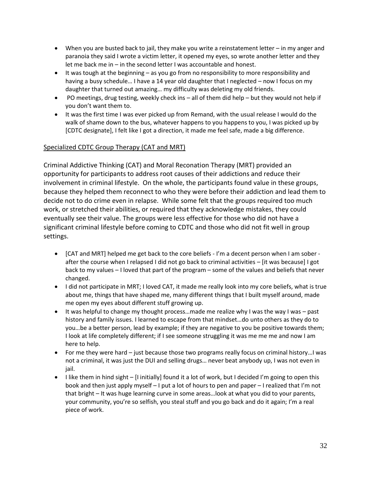- When you are busted back to jail, they make you write a reinstatement letter in my anger and paranoia they said I wrote a victim letter, it opened my eyes, so wrote another letter and they let me back me in – in the second letter I was accountable and honest.
- It was tough at the beginning as you go from no responsibility to more responsibility and having a busy schedule... I have a 14 year old daughter that I neglected – now I focus on my daughter that turned out amazing… my difficulty was deleting my old friends.
- PO meetings, drug testing, weekly check ins all of them did help but they would not help if you don't want them to.
- It was the first time I was ever picked up from Remand, with the usual release I would do the walk of shame down to the bus, whatever happens to you happens to you, I was picked up by [CDTC designate], I felt like I got a direction, it made me feel safe, made a big difference.

#### Specialized CDTC Group Therapy (CAT and MRT)

Criminal Addictive Thinking (CAT) and Moral Reconation Therapy (MRT) provided an opportunity for participants to address root causes of their addictions and reduce their involvement in criminal lifestyle. On the whole, the participants found value in these groups, because they helped them reconnect to who they were before their addiction and lead them to decide not to do crime even in relapse. While some felt that the groups required too much work, or stretched their abilities, or required that they acknowledge mistakes, they could eventually see their value. The groups were less effective for those who did not have a significant criminal lifestyle before coming to CDTC and those who did not fit well in group settings.

- [CAT and MRT] helped me get back to the core beliefs I'm a decent person when I am sober after the course when I relapsed I did not go back to criminal activities – [it was because] I got back to my values – I loved that part of the program – some of the values and beliefs that never changed.
- I did not participate in MRT; I loved CAT, it made me really look into my core beliefs, what is true about me, things that have shaped me, many different things that I built myself around, made me open my eyes about different stuff growing up.
- It was helpful to change my thought process...made me realize why I was the way I was past history and family issues. I learned to escape from that mindset…do unto others as they do to you…be a better person, lead by example; if they are negative to you be positive towards them; I look at life completely different; if I see someone struggling it was me me me and now I am here to help.
- For me they were hard just because those two programs really focus on criminal history…I was not a criminal, it was just the DUI and selling drugs… never beat anybody up, I was not even in jail.
- $\bullet$  I like them in hind sight [I initially] found it a lot of work, but I decided I'm going to open this book and then just apply myself – I put a lot of hours to pen and paper – I realized that I'm not that bright – It was huge learning curve in some areas…look at what you did to your parents, your community, you're so selfish, you steal stuff and you go back and do it again; I'm a real piece of work.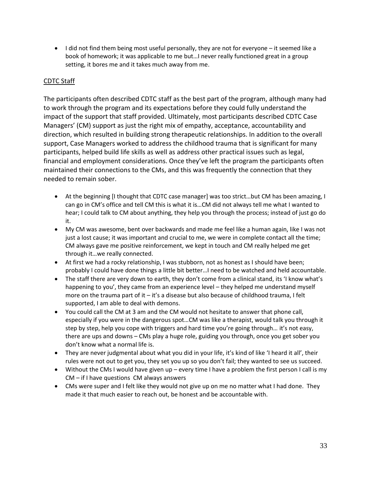• I did not find them being most useful personally, they are not for everyone – it seemed like a book of homework; it was applicable to me but…I never really functioned great in a group setting, it bores me and it takes much away from me.

## CDTC Staff

The participants often described CDTC staff as the best part of the program, although many had to work through the program and its expectations before they could fully understand the impact of the support that staff provided. Ultimately, most participants described CDTC Case Managers' (CM) support as just the right mix of empathy, acceptance, accountability and direction, which resulted in building strong therapeutic relationships. In addition to the overall support, Case Managers worked to address the childhood trauma that is significant for many participants, helped build life skills as well as address other practical issues such as legal, financial and employment considerations. Once they've left the program the participants often maintained their connections to the CMs, and this was frequently the connection that they needed to remain sober.

- At the beginning [I thought that CDTC case manager] was too strict…but CM has been amazing, I can go in CM's office and tell CM this is what it is…CM did not always tell me what I wanted to hear; I could talk to CM about anything, they help you through the process; instead of just go do it.
- My CM was awesome, bent over backwards and made me feel like a human again, like I was not just a lost cause; it was important and crucial to me, we were in complete contact all the time; CM always gave me positive reinforcement, we kept in touch and CM really helped me get through it…we really connected.
- At first we had a rocky relationship, I was stubborn, not as honest as I should have been; probably I could have done things a little bit better…I need to be watched and held accountable.
- The staff there are very down to earth, they don't come from a clinical stand, its 'I know what's happening to you', they came from an experience level – they helped me understand myself more on the trauma part of it  $-$  it's a disease but also because of childhood trauma, I felt supported, I am able to deal with demons.
- You could call the CM at 3 am and the CM would not hesitate to answer that phone call, especially if you were in the dangerous spot…CM was like a therapist, would talk you through it step by step, help you cope with triggers and hard time you're going through… it's not easy, there are ups and downs – CMs play a huge role, guiding you through, once you get sober you don't know what a normal life is.
- They are never judgmental about what you did in your life, it's kind of like 'I heard it all', their rules were not out to get you, they set you up so you don't fail; they wanted to see us succeed.
- Without the CMs I would have given up every time I have a problem the first person I call is my CM – if I have questions CM always answers
- CMs were super and I felt like they would not give up on me no matter what I had done. They made it that much easier to reach out, be honest and be accountable with.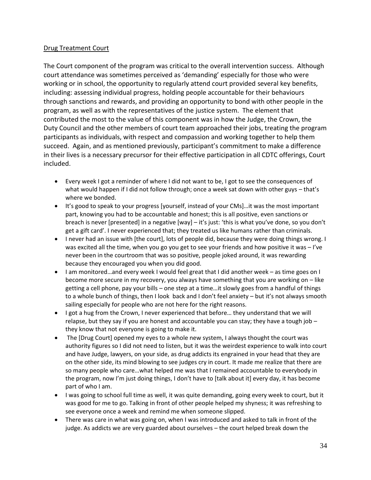## Drug Treatment Court

The Court component of the program was critical to the overall intervention success. Although court attendance was sometimes perceived as 'demanding' especially for those who were working or in school, the opportunity to regularly attend court provided several key benefits, including: assessing individual progress, holding people accountable for their behaviours through sanctions and rewards, and providing an opportunity to bond with other people in the program, as well as with the representatives of the justice system. The element that contributed the most to the value of this component was in how the Judge, the Crown, the Duty Council and the other members of court team approached their jobs, treating the program participants as individuals, with respect and compassion and working together to help them succeed. Again, and as mentioned previously, participant's commitment to make a difference in their lives is a necessary precursor for their effective participation in all CDTC offerings, Court included.

- Every week I got a reminder of where I did not want to be, I got to see the consequences of what would happen if I did not follow through; once a week sat down with other guys - that's where we bonded.
- It's good to speak to your progress [yourself, instead of your CMs]…it was the most important part, knowing you had to be accountable and honest; this is all positive, even sanctions or breach is never [presented] in a negative [way] – it's just: 'this is what you've done, so you don't get a gift card'. I never experienced that; they treated us like humans rather than criminals.
- I never had an issue with [the court], lots of people did, because they were doing things wrong. I was excited all the time, when you go you get to see your friends and how positive it was – I've never been in the courtroom that was so positive, people joked around, it was rewarding because they encouraged you when you did good.
- I am monitored…and every week I would feel great that I did another week as time goes on I become more secure in my recovery, you always have something that you are working on – like getting a cell phone, pay your bills – one step at a time…it slowly goes from a handful of things to a whole bunch of things, then I look back and I don't feel anxiety – but it's not always smooth sailing especially for people who are not here for the right reasons.
- I got a hug from the Crown, I never experienced that before… they understand that we will relapse, but they say if you are honest and accountable you can stay; they have a tough job  $$ they know that not everyone is going to make it.
- The [Drug Court] opened my eyes to a whole new system, I always thought the court was authority figures so I did not need to listen, but it was the weirdest experience to walk into court and have Judge, lawyers, on your side, as drug addicts its engrained in your head that they are on the other side, its mind blowing to see judges cry in court. It made me realize that there are so many people who care…what helped me was that I remained accountable to everybody in the program, now I'm just doing things, I don't have to [talk about it] every day, it has become part of who I am.
- I was going to school full time as well, it was quite demanding, going every week to court, but it was good for me to go. Talking in front of other people helped my shyness; it was refreshing to see everyone once a week and remind me when someone slipped.
- There was care in what was going on, when I was introduced and asked to talk in front of the judge. As addicts we are very guarded about ourselves – the court helped break down the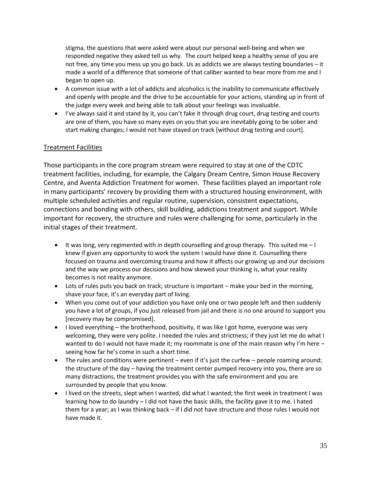stigma, the questions that were asked were about our personal well-being and when we responded negative they asked tell us why. The court helped keep a healthy sense of you are not free, any time you mess up you go back. Us as addicts we are always testing boundaries – it made a world of a difference that someone of that caliber wanted to hear more from me and I began to open up.

- A common issue with a lot of addicts and alcoholics is the inability to communicate effectively and openly with people and the drive to be accountable for your actions, standing up in front of the judge every week and being able to talk about your feelings was invaluable.
- I've always said it and stand by it, you can't fake it through drug court, drug testing and courts are one of them, you have so many eyes on you that you are inevitably going to be sober and start making changes; I would not have stayed on track [without drug testing and court].

#### Treatment Facilities

Those participants in the core program stream were required to stay at one of the CDTC treatment facilities, including, for example, the Calgary Dream Centre, Simon House Recovery Centre, and Aventa Addiction Treatment for women. These facilities played an important role in many participants' recovery by providing them with a structured housing environment, with multiple scheduled activities and regular routine, supervision, consistent expectations, connections and bonding with others, skill building, addictions treatment and support. While important for recovery, the structure and rules were challenging for some, particularly in the initial stages of their treatment.

- $\bullet$  It was long, very regimented with in depth counselling and group therapy. This suited me  $-1$ knew if given any opportunity to work the system I would have done it. Counselling there focused on trauma and overcoming trauma and how it affects our growing up and our decisions and the way we process our decisions and how skewed your thinking is, what your reality becomes is not reality anymore.
- Lots of rules puts you back on track; structure is important make your bed in the morning, shave your face, it's an everyday part of living.
- When you come out of your addiction you have only one or two people left and then suddenly you have a lot of groups, if you just released from jail and there is no one around to support you [recovery may be compromised].
- I loved everything the brotherhood, positivity, it was like I got home, everyone was very welcoming, they were very polite. I needed the rules and strictness; if they just let me do what I wanted to do I would not have made it; my roommate is one of the main reason why I'm here – seeing how far he's come in such a short time.
- The rules and conditions were pertinent even if it's just the curfew people roaming around; the structure of the day – having the treatment center pumped recovery into you, there are so many distractions, the treatment provides you with the safe environment and you are surrounded by people that you know.
- I lived on the streets, slept when I wanted, did what I wanted; the first week in treatment I was learning how to do laundry – I did not have the basic skills, the facility gave it to me. I hated them for a year; as I was thinking back – if I did not have structure and those rules I would not have made it.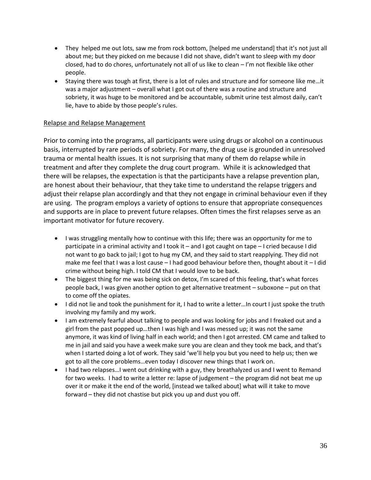- They helped me out lots, saw me from rock bottom, [helped me understand] that it's not just all about me; but they picked on me because I did not shave, didn't want to sleep with my door closed, had to do chores, unfortunately not all of us like to clean – I'm not flexible like other people.
- Staying there was tough at first, there is a lot of rules and structure and for someone like me…it was a major adjustment – overall what I got out of there was a routine and structure and sobriety, it was huge to be monitored and be accountable, submit urine test almost daily, can't lie, have to abide by those people's rules.

#### Relapse and Relapse Management

Prior to coming into the programs, all participants were using drugs or alcohol on a continuous basis, interrupted by rare periods of sobriety. For many, the drug use is grounded in unresolved trauma or mental health issues. It is not surprising that many of them do relapse while in treatment and after they complete the drug court program. While it is acknowledged that there will be relapses, the expectation is that the participants have a relapse prevention plan, are honest about their behaviour, that they take time to understand the relapse triggers and adjust their relapse plan accordingly and that they not engage in criminal behaviour even if they are using. The program employs a variety of options to ensure that appropriate consequences and supports are in place to prevent future relapses. Often times the first relapses serve as an important motivator for future recovery.

- I was struggling mentally how to continue with this life; there was an opportunity for me to participate in a criminal activity and I took it – and I got caught on tape – I cried because I did not want to go back to jail; I got to hug my CM, and they said to start reapplying. They did not make me feel that I was a lost cause – I had good behaviour before then, thought about it – I did crime without being high. I told CM that I would love to be back.
- The biggest thing for me was being sick on detox, I'm scared of this feeling, that's what forces people back, I was given another option to get alternative treatment – suboxone – put on that to come off the opiates.
- I did not lie and took the punishment for it, I had to write a letter…In court I just spoke the truth involving my family and my work.
- I am extremely fearful about talking to people and was looking for jobs and I freaked out and a girl from the past popped up…then I was high and I was messed up; it was not the same anymore, it was kind of living half in each world; and then I got arrested. CM came and talked to me in jail and said you have a week make sure you are clean and they took me back, and that's when I started doing a lot of work. They said 'we'll help you but you need to help us; then we got to all the core problems…even today I discover new things that I work on.
- I had two relapses…I went out drinking with a guy, they breathalyzed us and I went to Remand for two weeks. I had to write a letter re: lapse of judgement – the program did not beat me up over it or make it the end of the world, [instead we talked about] what will it take to move forward – they did not chastise but pick you up and dust you off.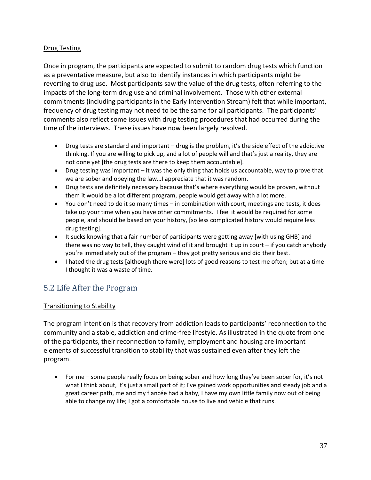## Drug Testing

Once in program, the participants are expected to submit to random drug tests which function as a preventative measure, but also to identify instances in which participants might be reverting to drug use. Most participants saw the value of the drug tests, often referring to the impacts of the long-term drug use and criminal involvement. Those with other external commitments (including participants in the Early Intervention Stream) felt that while important, frequency of drug testing may not need to be the same for all participants. The participants' comments also reflect some issues with drug testing procedures that had occurred during the time of the interviews. These issues have now been largely resolved.

- Drug tests are standard and important drug is the problem, it's the side effect of the addictive thinking. If you are willing to pick up, and a lot of people will and that's just a reality, they are not done yet [the drug tests are there to keep them accountable].
- Drug testing was important  $-$  it was the only thing that holds us accountable, way to prove that we are sober and obeying the law…I appreciate that it was random.
- Drug tests are definitely necessary because that's where everything would be proven, without them it would be a lot different program, people would get away with a lot more.
- You don't need to do it so many times in combination with court, meetings and tests, it does take up your time when you have other commitments. I feel it would be required for some people, and should be based on your history, [so less complicated history would require less drug testing].
- It sucks knowing that a fair number of participants were getting away [with using GHB] and there was no way to tell, they caught wind of it and brought it up in court – if you catch anybody you're immediately out of the program – they got pretty serious and did their best.
- I hated the drug tests [although there were] lots of good reasons to test me often; but at a time I thought it was a waste of time.

## <span id="page-36-0"></span>5.2 Life After the Program

## Transitioning to Stability

The program intention is that recovery from addiction leads to participants' reconnection to the community and a stable, addiction and crime-free lifestyle. As illustrated in the quote from one of the participants, their reconnection to family, employment and housing are important elements of successful transition to stability that was sustained even after they left the program.

• For me – some people really focus on being sober and how long they've been sober for, it's not what I think about, it's just a small part of it; I've gained work opportunities and steady job and a great career path, me and my fiancée had a baby, I have my own little family now out of being able to change my life; I got a comfortable house to live and vehicle that runs.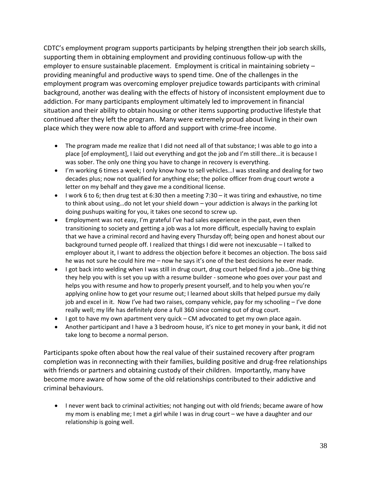CDTC's employment program supports participants by helping strengthen their job search skills, supporting them in obtaining employment and providing continuous follow-up with the employer to ensure sustainable placement. Employment is critical in maintaining sobriety – providing meaningful and productive ways to spend time. One of the challenges in the employment program was overcoming employer prejudice towards participants with criminal background, another was dealing with the effects of history of inconsistent employment due to addiction. For many participants employment ultimately led to improvement in financial situation and their ability to obtain housing or other items supporting productive lifestyle that continued after they left the program. Many were extremely proud about living in their own place which they were now able to afford and support with crime-free income.

- The program made me realize that I did not need all of that substance; I was able to go into a place [of employment], I laid out everything and got the job and I'm still there…it is because I was sober. The only one thing you have to change in recovery is everything.
- I'm working 6 times a week; I only know how to sell vehicles…I was stealing and dealing for two decades plus; now not qualified for anything else; the police officer from drug court wrote a letter on my behalf and they gave me a conditional license.
- I work 6 to 6; then drug test at 6:30 then a meeting 7:30 it was tiring and exhaustive, no time to think about using…do not let your shield down – your addiction is always in the parking lot doing pushups waiting for you, it takes one second to screw up.
- Employment was not easy, I'm grateful I've had sales experience in the past, even then transitioning to society and getting a job was a lot more difficult, especially having to explain that we have a criminal record and having every Thursday off; being open and honest about our background turned people off. I realized that things I did were not inexcusable – I talked to employer about it, I want to address the objection before it becomes an objection. The boss said he was not sure he could hire me – now he says it's one of the best decisions he ever made.
- I got back into welding when I was still in drug court, drug court helped find a job...One big thing they help you with is set you up with a resume builder - someone who goes over your past and helps you with resume and how to properly present yourself, and to help you when you're applying online how to get your resume out; I learned about skills that helped pursue my daily job and excel in it. Now I've had two raises, company vehicle, pay for my schooling – I've done really well; my life has definitely done a full 360 since coming out of drug court.
- I got to have my own apartment very quick CM advocated to get my own place again.
- Another participant and I have a 3 bedroom house, it's nice to get money in your bank, it did not take long to become a normal person.

Participants spoke often about how the real value of their sustained recovery after program completion was in reconnecting with their families, building positive and drug-free relationships with friends or partners and obtaining custody of their children. Importantly, many have become more aware of how some of the old relationships contributed to their addictive and criminal behaviours.

• I never went back to criminal activities; not hanging out with old friends; became aware of how my mom is enabling me; I met a girl while I was in drug court – we have a daughter and our relationship is going well.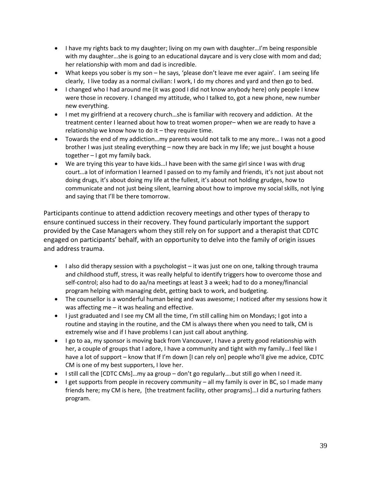- I have my rights back to my daughter; living on my own with daughter…I'm being responsible with my daughter…she is going to an educational daycare and is very close with mom and dad; her relationship with mom and dad is incredible.
- What keeps you sober is my son he says, 'please don't leave me ever again'. I am seeing life clearly, I live today as a normal civilian: I work, I do my chores and yard and then go to bed.
- I changed who I had around me (it was good I did not know anybody here) only people I knew were those in recovery. I changed my attitude, who I talked to, got a new phone, new number new everything.
- I met my girlfriend at a recovery church…she is familiar with recovery and addiction. At the treatment center I learned about how to treat women proper– when we are ready to have a relationship we know how to do it – they require time.
- Towards the end of my addiction…my parents would not talk to me any more… I was not a good brother I was just stealing everything – now they are back in my life; we just bought a house together – I got my family back.
- We are trying this year to have kids...I have been with the same girl since I was with drug court…a lot of information I learned I passed on to my family and friends, it's not just about not doing drugs, it's about doing my life at the fullest, it's about not holding grudges, how to communicate and not just being silent, learning about how to improve my social skills, not lying and saying that I'll be there tomorrow.

Participants continue to attend addiction recovery meetings and other types of therapy to ensure continued success in their recovery. They found particularly important the support provided by the Case Managers whom they still rely on for support and a therapist that CDTC engaged on participants' behalf, with an opportunity to delve into the family of origin issues and address trauma.

- I also did therapy session with a psychologist it was just one on one, talking through trauma and childhood stuff, stress, it was really helpful to identify triggers how to overcome those and self-control; also had to do aa/na meetings at least 3 a week; had to do a money/financial program helping with managing debt, getting back to work, and budgeting.
- The counsellor is a wonderful human being and was awesome; I noticed after my sessions how it was affecting me  $-$  it was healing and effective.
- I just graduated and I see my CM all the time, I'm still calling him on Mondays; I got into a routine and staying in the routine, and the CM is always there when you need to talk, CM is extremely wise and if I have problems I can just call about anything.
- I go to aa, my sponsor is moving back from Vancouver, I have a pretty good relationship with her, a couple of groups that I adore, I have a community and tight with my family...I feel like I have a lot of support – know that If I'm down [I can rely on] people who'll give me advice, CDTC CM is one of my best supporters, I love her.
- I still call the [CDTC CMs]…my aa group don't go regularly….but still go when I need it.
- $\bullet$  I get supports from people in recovery community all my family is over in BC, so I made many friends here; my CM is here, [the treatment facility, other programs]…I did a nurturing fathers program.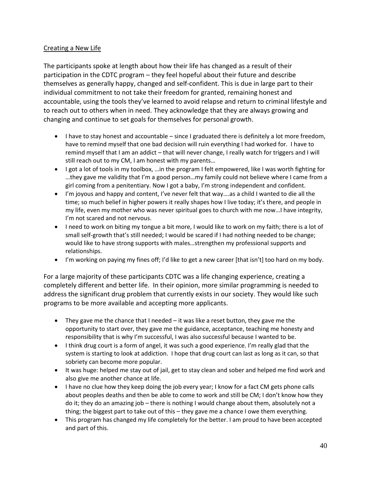## Creating a New Life

The participants spoke at length about how their life has changed as a result of their participation in the CDTC program – they feel hopeful about their future and describe themselves as generally happy, changed and self-confident. This is due in large part to their individual commitment to not take their freedom for granted, remaining honest and accountable, using the tools they've learned to avoid relapse and return to criminal lifestyle and to reach out to others when in need. They acknowledge that they are always growing and changing and continue to set goals for themselves for personal growth.

- I have to stay honest and accountable since I graduated there is definitely a lot more freedom, have to remind myself that one bad decision will ruin everything I had worked for. I have to remind myself that I am an addict – that will never change, I really watch for triggers and I will still reach out to my CM, I am honest with my parents…
- I got a lot of tools in my toolbox, …in the program I felt empowered, like I was worth fighting for …they gave me validity that I'm a good person…my family could not believe where I came from a girl coming from a penitentiary. Now I got a baby, I'm strong independent and confident.
- I'm joyous and happy and content, I've never felt that way….as a child I wanted to die all the time; so much belief in higher powers it really shapes how I live today; it's there, and people in my life, even my mother who was never spiritual goes to church with me now…I have integrity, I'm not scared and not nervous.
- I need to work on biting my tongue a bit more, I would like to work on my faith; there is a lot of small self-growth that's still needed; I would be scared if I had nothing needed to be change; would like to have strong supports with males…strengthen my professional supports and relationships.
- I'm working on paying my fines off; I'd like to get a new career [that isn't] too hard on my body.

For a large majority of these participants CDTC was a life changing experience, creating a completely different and better life. In their opinion, more similar programming is needed to address the significant drug problem that currently exists in our society. They would like such programs to be more available and accepting more applicants.

- They gave me the chance that I needed  $-$  it was like a reset button, they gave me the opportunity to start over, they gave me the guidance, acceptance, teaching me honesty and responsibility that is why I'm successful, I was also successful because I wanted to be.
- I think drug court is a form of angel, it was such a good experience. I'm really glad that the system is starting to look at addiction. I hope that drug court can last as long as it can, so that sobriety can become more popular.
- It was huge: helped me stay out of jail, get to stay clean and sober and helped me find work and also give me another chance at life.
- I have no clue how they keep doing the job every year; I know for a fact CM gets phone calls about peoples deaths and then be able to come to work and still be CM; I don't know how they do it; they do an amazing job – there is nothing I would change about them, absolutely not a thing; the biggest part to take out of this – they gave me a chance I owe them everything.
- This program has changed my life completely for the better. I am proud to have been accepted and part of this.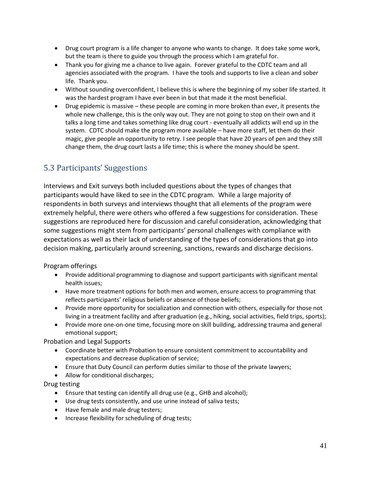- Drug court program is a life changer to anyone who wants to change. It does take some work, but the team is there to guide you through the process which I am grateful for.
- Thank you for giving me a chance to live again. Forever grateful to the CDTC team and all agencies associated with the program. I have the tools and supports to live a clean and sober life. Thank you.
- Without sounding overconfident, I believe this is where the beginning of my sober life started. It was the hardest program I have ever been in but that made it the most beneficial.
- Drug epidemic is massive these people are coming in more broken than ever, it presents the whole new challenge, this is the only way out. They are not going to stop on their own and it talks a long time and takes something like drug court - eventually all addicts will end up in the system. CDTC should make the program more available – have more staff, let them do their magic, give people an opportunity to retry. I see people that have 20 years of pen and they still change them, the drug court lasts a life time; this is where the money should be spent.

## <span id="page-40-0"></span>5.3 Participants' Suggestions

Interviews and Exit surveys both included questions about the types of changes that participants would have liked to see in the CDTC program. While a large majority of respondents in both surveys and interviews thought that all elements of the program were extremely helpful, there were others who offered a few suggestions for consideration. These suggestions are reproduced here for discussion and careful consideration, acknowledging that some suggestions might stem from participants' personal challenges with compliance with expectations as well as their lack of understanding of the types of considerations that go into decision making, particularly around screening, sanctions, rewards and discharge decisions.

Program offerings

- Provide additional programming to diagnose and support participants with significant mental health issues;
- Have more treatment options for both men and women, ensure access to programming that reflects participants' religious beliefs or absence of those beliefs;
- Provide more opportunity for socialization and connection with others, especially for those not living in a treatment facility and after graduation (e.g., hiking, social activities, field trips, sports);
- Provide more one-on-one time, focusing more on skill building, addressing trauma and general emotional support;

Probation and Legal Supports

- Coordinate better with Probation to ensure consistent commitment to accountability and expectations and decrease duplication of service;
- Ensure that Duty Council can perform duties similar to those of the private lawyers;
- Allow for conditional discharges;

Drug testing

- Ensure that testing can identify all drug use (e.g., GHB and alcohol);
- Use drug tests consistently, and use urine instead of saliva tests;
- Have female and male drug testers;
- Increase flexibility for scheduling of drug tests;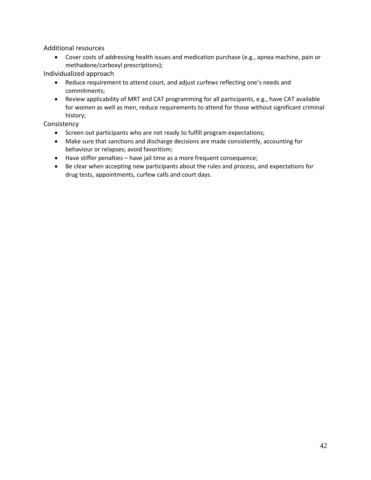Additional resources

• Cover costs of addressing health issues and medication purchase (e.g., apnea machine, pain or methadone/carboxyl prescriptions);

Individualized approach

- Reduce requirement to attend court, and adjust curfews reflecting one's needs and commitments;
- Review applicability of MRT and CAT programming for all participants, e.g., have CAT available for women as well as men, reduce requirements to attend for those without significant criminal history;

Consistency

- Screen out participants who are not ready to fulfill program expectations;
- Make sure that sanctions and discharge decisions are made consistently, accounting for behaviour or relapses; avoid favoritism;
- Have stiffer penalties have jail time as a more frequent consequence;
- Be clear when accepting new participants about the rules and process, and expectations for drug tests, appointments, curfew calls and court days.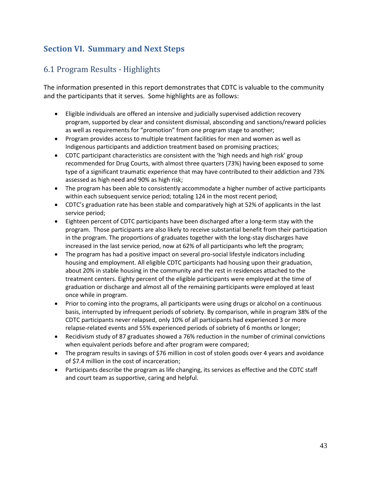## <span id="page-42-0"></span>**Section VI. Summary and Next Steps**

## <span id="page-42-1"></span>6.1 Program Results - Highlights

The information presented in this report demonstrates that CDTC is valuable to the community and the participants that it serves. Some highlights are as follows:

- Eligible individuals are offered an intensive and judicially supervised addiction recovery program, supported by clear and consistent dismissal, absconding and sanctions/reward policies as well as requirements for "promotion" from one program stage to another;
- Program provides access to multiple treatment facilities for men and women as well as Indigenous participants and addiction treatment based on promising practices;
- CDTC participant characteristics are consistent with the 'high needs and high risk' group recommended for Drug Courts, with almost three quarters (73%) having been exposed to some type of a significant traumatic experience that may have contributed to their addiction and 73% assessed as high need and 90% as high risk;
- The program has been able to consistently accommodate a higher number of active participants within each subsequent service period; totaling 124 in the most recent period;
- CDTC's graduation rate has been stable and comparatively high at 52% of applicants in the last service period;
- Eighteen percent of CDTC participants have been discharged after a long-term stay with the program. Those participants are also likely to receive substantial benefit from their participation in the program. The proportions of graduates together with the long-stay discharges have increased in the last service period, now at 62% of all participants who left the program;
- The program has had a positive impact on several pro-social lifestyle indicators including housing and employment. All eligible CDTC participants had housing upon their graduation, about 20% in stable housing in the community and the rest in residences attached to the treatment centers. Eighty percent of the eligible participants were employed at the time of graduation or discharge and almost all of the remaining participants were employed at least once while in program.
- Prior to coming into the programs, all participants were using drugs or alcohol on a continuous basis, interrupted by infrequent periods of sobriety. By comparison, while in program 38% of the CDTC participants never relapsed, only 10% of all participants had experienced 3 or more relapse-related events and 55% experienced periods of sobriety of 6 months or longer;
- Recidivism study of 87 graduates showed a 76% reduction in the number of criminal convictions when equivalent periods before and after program were compared;
- The program results in savings of \$76 million in cost of stolen goods over 4 years and avoidance of \$7.4 million in the cost of incarceration;
- Participants describe the program as life changing, its services as effective and the CDTC staff and court team as supportive, caring and helpful.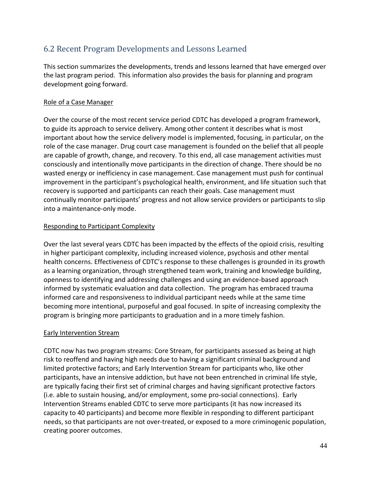## <span id="page-43-0"></span>6.2 Recent Program Developments and Lessons Learned

This section summarizes the developments, trends and lessons learned that have emerged over the last program period. This information also provides the basis for planning and program development going forward.

## Role of a Case Manager

Over the course of the most recent service period CDTC has developed a program framework, to guide its approach to service delivery. Among other content it describes what is most important about how the service delivery model is implemented, focusing, in particular, on the role of the case manager. Drug court case management is founded on the belief that all people are capable of growth, change, and recovery. To this end, all case management activities must consciously and intentionally move participants in the direction of change. There should be no wasted energy or inefficiency in case management. Case management must push for continual improvement in the participant's psychological health, environment, and life situation such that recovery is supported and participants can reach their goals. Case management must continually monitor participants' progress and not allow service providers or participants to slip into a maintenance-only mode.

## Responding to Participant Complexity

Over the last several years CDTC has been impacted by the effects of the opioid crisis, resulting in higher participant complexity, including increased violence, psychosis and other mental health concerns. Effectiveness of CDTC's response to these challenges is grounded in its growth as a learning organization, through strengthened team work, training and knowledge building, openness to identifying and addressing challenges and using an evidence-based approach informed by systematic evaluation and data collection. The program has embraced trauma informed care and responsiveness to individual participant needs while at the same time becoming more intentional, purposeful and goal focused. In spite of increasing complexity the program is bringing more participants to graduation and in a more timely fashion.

## **Early Intervention Stream**

CDTC now has two program streams: Core Stream, for participants assessed as being at high risk to reoffend and having high needs due to having a significant criminal background and limited protective factors; and Early Intervention Stream for participants who, like other participants, have an intensive addiction, but have not been entrenched in criminal life style, are typically facing their first set of criminal charges and having significant protective factors (i.e. able to sustain housing, and/or employment, some pro-social connections). Early Intervention Streams enabled CDTC to serve more participants (it has now increased its capacity to 40 participants) and become more flexible in responding to different participant needs, so that participants are not over-treated, or exposed to a more criminogenic population, creating poorer outcomes.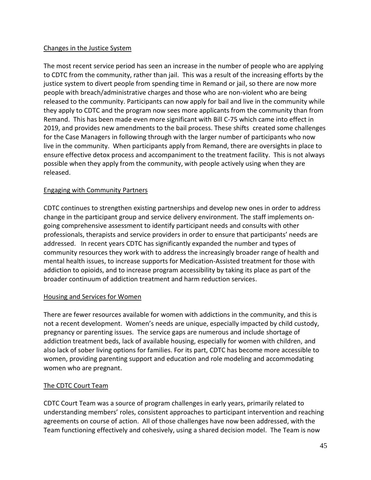## Changes in the Justice System

The most recent service period has seen an increase in the number of people who are applying to CDTC from the community, rather than jail. This was a result of the increasing efforts by the justice system to divert people from spending time in Remand or jail, so there are now more people with breach/administrative charges and those who are non-violent who are being released to the community. Participants can now apply for bail and live in the community while they apply to CDTC and the program now sees more applicants from the community than from Remand. This has been made even more significant with Bill C-75 which came into effect in 2019, and provides new amendments to the bail process. These shifts created some challenges for the Case Managers in following through with the larger number of participants who now live in the community. When participants apply from Remand, there are oversights in place to ensure effective detox process and accompaniment to the treatment facility. This is not always possible when they apply from the community, with people actively using when they are released.

## Engaging with Community Partners

CDTC continues to strengthen existing partnerships and develop new ones in order to address change in the participant group and service delivery environment. The staff implements ongoing comprehensive assessment to identify participant needs and consults with other professionals, therapists and service providers in order to ensure that participants' needs are addressed. In recent years CDTC has significantly expanded the number and types of community resources they work with to address the increasingly broader range of health and mental health issues, to increase supports for Medication-Assisted treatment for those with addiction to opioids, and to increase program accessibility by taking its place as part of the broader continuum of addiction treatment and harm reduction services.

## Housing and Services for Women

There are fewer resources available for women with addictions in the community, and this is not a recent development. Women's needs are unique, especially impacted by child custody, pregnancy or parenting issues. The service gaps are numerous and include shortage of addiction treatment beds, lack of available housing, especially for women with children, and also lack of sober living options for families. For its part, CDTC has become more accessible to women, providing parenting support and education and role modeling and accommodating women who are pregnant.

## The CDTC Court Team

CDTC Court Team was a source of program challenges in early years, primarily related to understanding members' roles, consistent approaches to participant intervention and reaching agreements on course of action. All of those challenges have now been addressed, with the Team functioning effectively and cohesively, using a shared decision model. The Team is now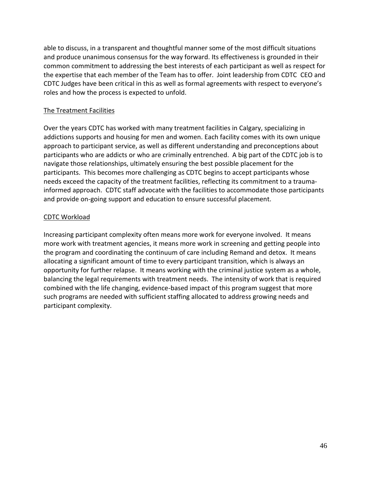able to discuss, in a transparent and thoughtful manner some of the most difficult situations and produce unanimous consensus for the way forward. Its effectiveness is grounded in their common commitment to addressing the best interests of each participant as well as respect for the expertise that each member of the Team has to offer. Joint leadership from CDTC CEO and CDTC Judges have been critical in this as well as formal agreements with respect to everyone's roles and how the process is expected to unfold.

## The Treatment Facilities

Over the years CDTC has worked with many treatment facilities in Calgary, specializing in addictions supports and housing for men and women. Each facility comes with its own unique approach to participant service, as well as different understanding and preconceptions about participants who are addicts or who are criminally entrenched. A big part of the CDTC job is to navigate those relationships, ultimately ensuring the best possible placement for the participants. This becomes more challenging as CDTC begins to accept participants whose needs exceed the capacity of the treatment facilities, reflecting its commitment to a traumainformed approach. CDTC staff advocate with the facilities to accommodate those participants and provide on-going support and education to ensure successful placement.

## CDTC Workload

Increasing participant complexity often means more work for everyone involved. It means more work with treatment agencies, it means more work in screening and getting people into the program and coordinating the continuum of care including Remand and detox. It means allocating a significant amount of time to every participant transition, which is always an opportunity for further relapse. It means working with the criminal justice system as a whole, balancing the legal requirements with treatment needs. The intensity of work that is required combined with the life changing, evidence-based impact of this program suggest that more such programs are needed with sufficient staffing allocated to address growing needs and participant complexity.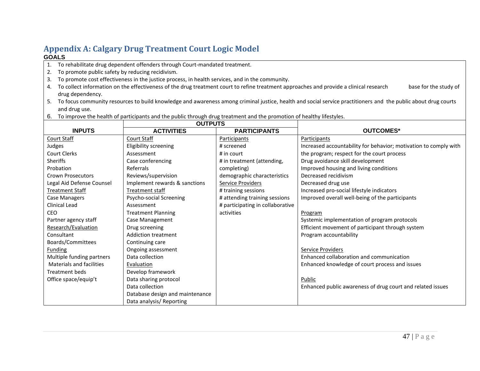## **Appendix A: Calgary Drug Treatment Court Logic Model GOALS**

- 1. To rehabilitate drug dependent offenders through Court-mandated treatment.
- 2. To promote public safety by reducing recidivism.
- 3. To promote cost effectiveness in the justice process, in health services, and in the community.
- 4. To collect information on the effectiveness of the drug treatment court to refine treatment approaches and provide a clinical research base for the study of drug dependency.
- 5. To focus community resources to build knowledge and awareness among criminal justice, health and social service practitioners and the public about drug courts and drug use.
- 6. To improve the health of participants and the public through drug treatment and the promotion of healthy lifestyles.

<span id="page-46-0"></span>

|                                 | <b>OUTPUTS</b>                  |                                  |                                                                  |
|---------------------------------|---------------------------------|----------------------------------|------------------------------------------------------------------|
| <b>INPUTS</b>                   | <b>ACTIVITIES</b>               | <b>PARTICIPANTS</b>              | <b>OUTCOMES*</b>                                                 |
| <b>Court Staff</b>              | Court Staff                     | Participants                     | Participants                                                     |
| Judges                          | Eligibility screening           | # screened                       | Increased accountability for behavior; motivation to comply with |
| Court Clerks                    | Assessment                      | # in court                       | the program; respect for the court process                       |
| <b>Sheriffs</b>                 | Case conferencing               | # in treatment (attending,       | Drug avoidance skill development                                 |
| Probation                       | Referrals                       | completing)                      | Improved housing and living conditions                           |
| <b>Crown Prosecutors</b>        | Reviews/supervision             | demographic characteristics      | Decreased recidivism                                             |
| Legal Aid Defense Counsel       | Implement rewards & sanctions   | <b>Service Providers</b>         | Decreased drug use                                               |
| <b>Treatment Staff</b>          | Treatment staff                 | # training sessions              | Increased pro-social lifestyle indicators                        |
| Case Managers                   | Psycho-social Screening         | # attending training sessions    | Improved overall well-being of the participants                  |
| Clinical Lead                   | Assessment                      | # participating in collaborative |                                                                  |
| <b>CEO</b>                      | <b>Treatment Planning</b>       | activities                       | Program                                                          |
| Partner agency staff            | Case Management                 |                                  | Systemic implementation of program protocols                     |
| Research/Evaluation             | Drug screening                  |                                  | Efficient movement of participant through system                 |
| Consultant                      | <b>Addiction treatment</b>      |                                  | Program accountability                                           |
| Boards/Committees               | Continuing care                 |                                  |                                                                  |
| <b>Funding</b>                  | Ongoing assessment              |                                  | Service Providers                                                |
| Multiple funding partners       | Data collection                 |                                  | Enhanced collaboration and communication                         |
| <b>Materials and facilities</b> | Evaluation                      |                                  | Enhanced knowledge of court process and issues                   |
| <b>Treatment beds</b>           | Develop framework               |                                  |                                                                  |
| Office space/equip't            | Data sharing protocol           |                                  | <b>Public</b>                                                    |
|                                 | Data collection                 |                                  | Enhanced public awareness of drug court and related issues       |
|                                 | Database design and maintenance |                                  |                                                                  |
|                                 | Data analysis/ Reporting        |                                  |                                                                  |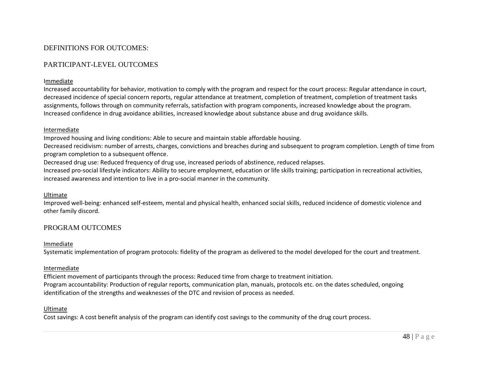## DEFINITIONS FOR OUTCOMES:

## PARTICIPANT-LEVEL OUTCOMES

#### Immediate

Increased accountability for behavior, motivation to comply with the program and respect for the court process: Regular attendance in court, decreased incidence of special concern reports, regular attendance at treatment, completion of treatment, completion of treatment tasks assignments, follows through on community referrals, satisfaction with program components, increased knowledge about the program. Increased confidence in drug avoidance abilities, increased knowledge about substance abuse and drug avoidance skills.

#### Intermediate

Improved housing and living conditions: Able to secure and maintain stable affordable housing.

Decreased recidivism: number of arrests, charges, convictions and breaches during and subsequent to program completion. Length of time from program completion to a subsequent offence.

Decreased drug use: Reduced frequency of drug use, increased periods of abstinence, reduced relapses.

Increased pro-social lifestyle indicators: Ability to secure employment, education or life skills training; participation in recreational activities, increased awareness and intention to live in a pro-social manner in the community.

#### Ultimate

Improved well-being: enhanced self-esteem, mental and physical health, enhanced social skills, reduced incidence of domestic violence and other family discord.

## PROGRAM OUTCOMES

#### Immediate

Systematic implementation of program protocols: fidelity of the program as delivered to the model developed for the court and treatment.

#### Intermediate

Efficient movement of participants through the process: Reduced time from charge to treatment initiation. Program accountability: Production of regular reports, communication plan, manuals, protocols etc. on the dates scheduled, ongoing identification of the strengths and weaknesses of the DTC and revision of process as needed.

#### Ultimate

Cost savings: A cost benefit analysis of the program can identify cost savings to the community of the drug court process.